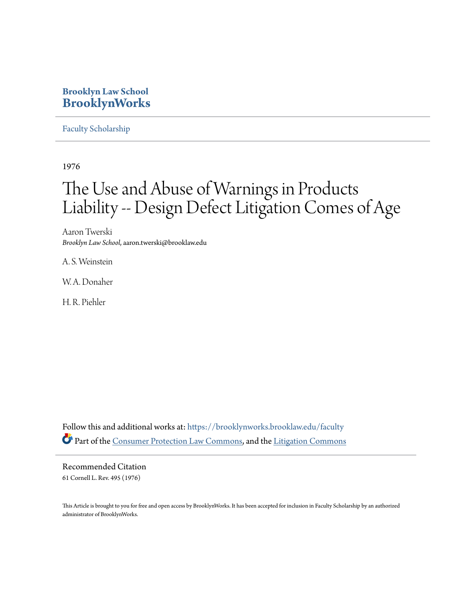## **Brooklyn Law School [BrooklynWorks](https://brooklynworks.brooklaw.edu?utm_source=brooklynworks.brooklaw.edu%2Ffaculty%2F717&utm_medium=PDF&utm_campaign=PDFCoverPages)**

## [Faculty Scholarship](https://brooklynworks.brooklaw.edu/faculty?utm_source=brooklynworks.brooklaw.edu%2Ffaculty%2F717&utm_medium=PDF&utm_campaign=PDFCoverPages)

1976

## The Use and Abuse of Warnings in Products Liability -- Design Defect Litigation Comes of Age

Aaron Twerski *Brooklyn Law School*, aaron.twerski@brooklaw.edu

A. S. Weinstein

W. A. Donaher

H. R. Piehler

Follow this and additional works at: [https://brooklynworks.brooklaw.edu/faculty](https://brooklynworks.brooklaw.edu/faculty?utm_source=brooklynworks.brooklaw.edu%2Ffaculty%2F717&utm_medium=PDF&utm_campaign=PDFCoverPages) Part of the [Consumer Protection Law Commons](http://network.bepress.com/hgg/discipline/838?utm_source=brooklynworks.brooklaw.edu%2Ffaculty%2F717&utm_medium=PDF&utm_campaign=PDFCoverPages), and the [Litigation Commons](http://network.bepress.com/hgg/discipline/910?utm_source=brooklynworks.brooklaw.edu%2Ffaculty%2F717&utm_medium=PDF&utm_campaign=PDFCoverPages)

Recommended Citation 61 Cornell L. Rev. 495 (1976)

This Article is brought to you for free and open access by BrooklynWorks. It has been accepted for inclusion in Faculty Scholarship by an authorized administrator of BrooklynWorks.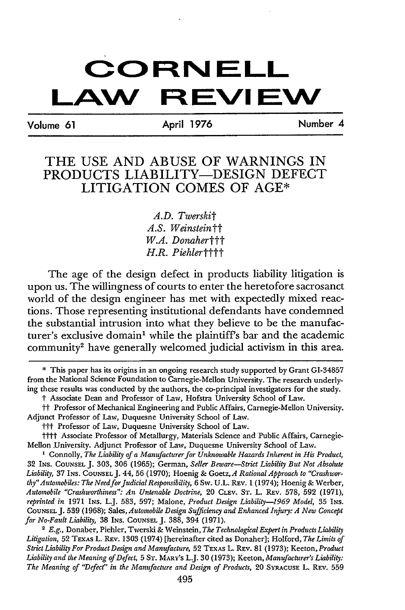# **CORN ELL LAW REVIEW**

Volume **61** April **1976** Number 4

## THE **USE AND ABUSE** OF **WARNINGS** IN **PRODUCTS** LIABILITY-DESIGN **DEFECT** LITIGATION **COMES** OF **AGE\***

*A.D. Twerskit* **A.S.** *Weinsteintt* W.A. Donaher<sup>†††</sup> *H.R. Piehlertttt*

The age of the design defect in products liability litigation is upon us. The willingness of courts to enter the heretofore sacrosanct world of the design engineer has met with expectedly mixed reactions. Those representing institutional defendants have condemned the substantial intrusion into what they believe to be the manufacturer's exclusive domain' while the plaintiffs bar and the academic community2 have generally welcomed judicial activism in this area.

t Associate Dean and Professor of Law, Hofstra University School of Law.

<sup>††</sup> Professor of Mechanical Engineering and Public Affairs, Carnegie-Mellon University. Adjunct Professor of Law, Duquesne University School of Law.

ttt Professor of Law, Duquesne University School of Law.

tttt Associate Professor of Metallurgy, Materials Science and Public Affairs, Carnegie-Mellon .University. Adjunct Professor of Law, Duquesne University School of Law.

**I** Connolly, *The Liability of a Manufacturer for Unknowable Hazards Inherent in His Product,* 32 INS. **COUNSEL** J. 303, 306 (1965); German, *Seller Beware-Strict Liability But Not Absolute Liability,* 37 INS. **COUNSEL** J. 44, **56** (1970); Hoenig & Goetz, *A Rational Approach to "Crashworthy"Automobiles: The NeedforJudicialResponsibility,* 6 Sw. U.L. REv. 1 (1974); Hoenig & Werber, *Automobile "Crashworthiness": An Untenable Doctrine,* 20 CLEV. ST. L. REv. 578, **592** (1971), *reprinted in* 1971 INS. L.J. 583, 597; Malone, *Product Design Liability-1969 Model,* 35 INS. **CouNsEL J. 539** (1968); Sales, *Automobile Design Sufficiency and Enhanced Injury: A New Concept for No-Fault Liability,* 38 INs. **COUNSEL** J. 388, 394 (1971).

**<sup>2</sup>***E.g.,* Donaher, Piehler, Twerski & Weinstein, *The Technological Expert in Products Liability Litigation,* 52 TEXAS L. REV. 1303 (1974) [hereinafter cited as Donaher]; Holford, *The Limits of Strict Liability For Product Design and Manufacture,* 52 TEXAS L. REV. 81 (1973); Keeton, *Product Liability and the Meaning of Defect,* **5 ST.** MARY'S L.J. 30 (1973); Keeton, *Manufacturer's Liability: The Meaning of "Defect" in the Manufacture and Design of Products,* 20 **SYRACUSE** L. REV. 559

**<sup>\*</sup>** This paper has its origins in an ongoing research study supported by Grant GI-34857 from the National Science Foundation to Carnegie-Mellon University. The research underlying these results was conducted by the authors, the co-principal investigators for the study.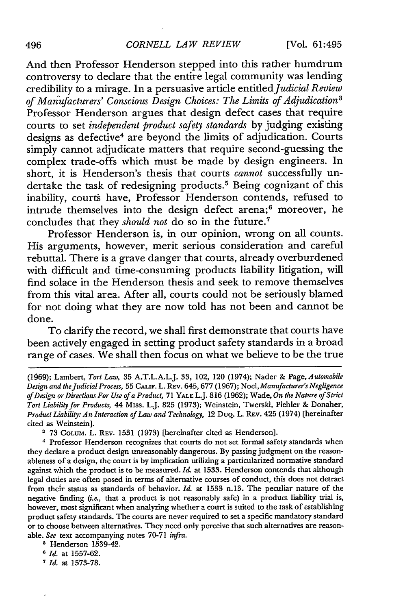And then Professor Henderson stepped into this rather humdrum controversy to declare that the entire legal community was lending credibility to a mirage. In a persuasive article *entitled Judicial Review of Manufacturers' Conscious Design Choices: The Limits of Adjudication3* Professor Henderson argues that design defect cases that require courts to set *independent product safety standards* by judging existing designs as defective<sup>4</sup> are beyond the limits of adjudication. Courts simply cannot adjudicate matters that require second-guessing the complex trade-offs which must be made by design engineers. In short, it is Henderson's thesis that courts *cannot* successfully undertake the task of redesigning products.<sup>5</sup> Being cognizant of this inability, courts have, Professor Henderson contends, refused to intrude themselves into the design defect arena;<sup>6</sup> moreover, he concludes that they *should not* do so in the future.7

Professor Henderson is, in our opinion, wrong on all counts. His arguments, however, merit serious consideration and careful rebuttal. There is a grave danger that courts, already overburdened with difficult and time-consuming products liability litigation, will find solace in the Henderson thesis and seek to remove themselves from this vital area. After all, courts could not be seriously blamed for not doing what they are now told has not been and cannot be done.

To clarify the record, we shall first demonstrate that courts have been actively engaged in setting product safety standards in a broad range of cases. We shall then focus on what we believe to be the true

**5** Henderson 1539-42.

**7** *Id.* at 1573-78.

<sup>(1969);</sup> Lambert, *Tort Law,* 35 A.T.L.A.L.J. 33, 102, 120 (1974); Nader & Page, *Automobile Design and the Judicial Process,* 55 CALIF. L. REV. 645,677 (1967); *Noel,Manufacturer's Negligence of Design or Directions For Use of a Product,* 71 YALE L.J. 816 (1962); Wade, *On the Nature of Strict Tort Liability for Products,* 44 Miss. L.J. 825 (1973); Weinstein, Twerski, Piehler & Donaher, *Product Liability: An Interaction of Law and Technology,* 12 DuQ. L. REV. 425 (1974) [hereinafter cited as Weinstein].

**<sup>3</sup>** 73 **COLUM.** L. REV. 1531 (1973) [hereinafter cited as Henderson].

**<sup>4</sup>** Professor Henderson recognizes that courts do not set formal safety standards when they declare a product design unreasonably dangerous. By passing judgment on the reasonableness of a design, the court is by implication utilizing a particularized normative standard against which the product is to be measured. *Id.* at 1533. Henderson contends that although legal duties are often posed in terms of alternative courses of conduct, this does not detract from their status as standards of behavior. *Id.* at 1533 n.13. The peculiar nature of the negative finding *(i.e.,* that a product is not reasonably safe) in a product liability trial is, however, most significant when analyzing whether a court is suited to the task of establishing product safety standards. The courts are never required to set a specific mandatory standard or to choose between alternatives. They need only perceive that such alternatives are reasonable. *See* text accompanying notes 70-71 *infra.*

**<sup>6</sup>***Id.* at 1557-62.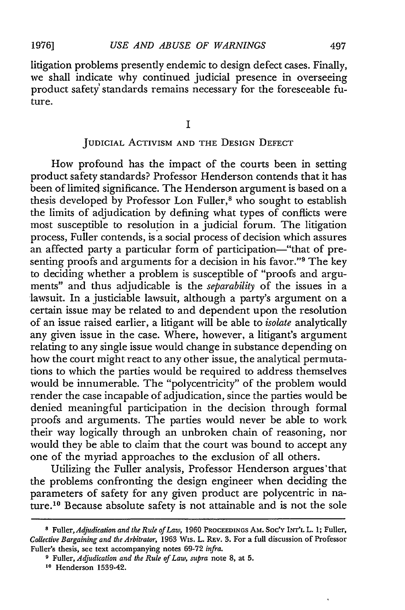**1976]**

litigation problems presently endemic to design defect cases. Finally, we shall indicate why continued judicial presence in overseeing product safety' standards remains necessary for the foreseeable future.

**I**

#### JUDICIAL **ACTIVISM AND** THE DESIGN **DEFECT**

How profound has the impact of the courts been in setting product safety standards? Professor Henderson contends that it has been of limited significance. The Henderson argument is based on a thesis developed by Professor Lon Fuller, $^8$  who sought to establish the limits of adjudication by defining what types of conflicts were most susceptible to resolution in a judicial forum. The litigation process, Fuller contends, is a social process of decision which assures an affected party a particular form of participation-"that of presenting proofs and arguments for a decision in his favor."9 The key to deciding whether a problem is susceptible of "proofs and arguments" and thus adjudicable is the *separability* of the issues in a lawsuit. In a justiciable lawsuit, although a party's argument on a certain issue may be related to and dependent upon the resolution of an issue raised earlier, a litigant will be able to *isolate* analytically any given issue in the case. Where, however, a litigant's argument relating to any single issue would change in substance depending on how the court might react to any other issue, the analytical permutations to which the parties would be required to address themselves would be innumerable. The "polycentricity" of the problem would render the case incapable of adjudication, since the parties would be denied meaningful participation in the decision through formal proofs and arguments. The parties would never be able to work their way logically through an unbroken chain of reasoning, nor would they be able to claim that the court was bound to accept any one of the myriad approaches to the exclusion of all others.

Utilizing the Fuller analysis, Professor Henderson argues'that the problems confronting the design engineer when deciding the parameters of safety for any given product are polycentric in nature.<sup>10</sup> Because absolute safety is not attainable and is not the sole

**<sup>8</sup>** *Fuller, Adjudication and the Rule of Law,* **1960 PROCEEDINGS** Am. Soc'Y **INT'L** L. 1; Fuller, *Collective Bargaining and the Arbitrator,* 1963 Wis. L. REv. 3. For a full discussion of Professor Fuller's thesis, see text accompanying notes 69-72 *infra.*

**<sup>9</sup>** Fuller, *Adjudication and the Rule of Law, supra* note 8, at **5.**

**<sup>10</sup>**Henderson 1539-42.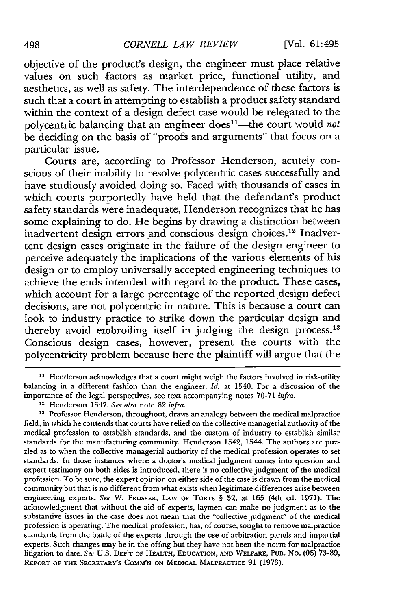objective of the product's design, the engineer must place relative values on such factors as market price, functional utility, and aesthetics, as well as safety. The interdependence of these factors is such that a court in attempting to establish a product safety standard within the context of a design defect case would be relegated to the polycentric balancing that an engineer does<sup>11</sup>—the court would *not* be deciding on the basis of "proofs and arguments" that focus on a particular issue.

Courts are, according to Professor Henderson, acutely conscious of their inability to resolve polycentric cases successfully and have studiously avoided doing so. Faced with thousands of cases in which courts purportedly have held that the defendant's product safety standards were inadequate, Henderson recognizes that he has some explaining to do. He begins by drawing a distinction between inadvertent design errors and conscious design choices.<sup>12</sup> Inadvertent design cases originate in the failure of the design engineer to perceive adequately the implications of the various elements of his design or to employ universally accepted engineering techniques to achieve the ends intended with regard to the product. These cases, which account for a large percentage of the reported design defect decisions, are not polycentric in nature. This is because a court can look to industry practice to strike down the particular design and thereby avoid embroiling itself in judging the design process.<sup>13</sup> Conscious design cases, however, present the courts with the polycentricity problem because here the plaintiff will argue that the

**<sup>11</sup>** Henderson acknowledges that a court might weigh the factors involved in risk-utility balancing in a different fashion than the engineer. *Id.* at 1540. For a discussion of the importance of the legal perspectives, see text accompanying notes 70-71 *infra.*

<sup>12</sup>Henderson 1547. *See also* note **82** *infra.*

<sup>&</sup>lt;sup>13</sup> Professor Henderson, throughout, draws an analogy between the medical malpractice field, in which he contends that courts have relied on the collective managerial authority of the medical profession to establish standards, and the custom of industry to establish similar standards for the manufacturing community. Henderson 1542, 1544. The authors are puzzled as to when the collective managerial authority of the medical profession operates to set standards. In those instances where a doctor's medical judgment comes into question and expert testimony on both sides is introduced, there is no collective judgment of the medical profession. To be sure, the expert opinion on either side of the case is drawn from the medical community but that is no different from what exists when legitimate differences arise between engineering experts. *See* W. PROSSER, LAW OF TORTS § **32,** at 165 (4th ed. 1971). The acknowledgment that without the aid of experts, laymen can make no judgment as to the substantive issues in the case does not mean that the "collective judgment" of the medical profession is operating. The medical profession, has, of course, sought to remove malpractice standards from the battle of the experts through the use of arbitration panels and impartial experts. Such changes may be in the offing but they have not been the norm for malpractice litigation to date. *See* U.S. **DEP'T** OF HEALTH, **EDUCATION, AND** WELFARE, PUB. No. (0S) **73-89, REPORT OF THE SECRETARY'S COMM'N ON MEDICAL MALPRACTICE** 91 (1973).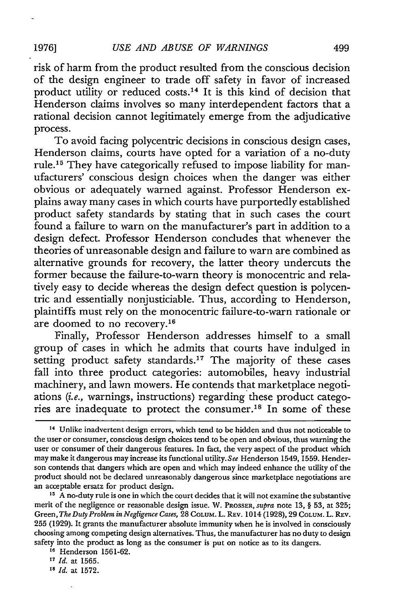risk of harm from the product resulted from the conscious decision of the design engineer to trade off safety in favor of increased product utility or reduced costs.<sup>14</sup> It is this kind of decision that Henderson claims involves so many interdependent factors that a rational decision cannot legitimately emerge from the adjudicative process.

To avoid facing polycentric decisions in conscious design cases, Henderson claims, courts have opted for a variation of a no-duty rule. 15 They have categorically refused to impose liability for manufacturers' conscious design choices when the danger was either obvious or adequately warned against. Professor Henderson explains away many cases in which courts have purportedly established product safety standards by stating that in such cases the court found a failure to warn on the manufacturer's part in addition to a design defect. Professor Henderson concludes that whenever the theories of unreasonable design and failure to warn are combined as alternative grounds for recovery, the latter theory undercuts the former because the failure-to-warn theory is monocentric and relatively easy to decide whereas the design defect question is polycentric and essentially nonjusticiable. Thus, according to Henderson, plaintiffs must rely on the monocentric failure-to-warn rationale or are doomed to no recovery.<sup>16</sup>

Finally, Professor Henderson addresses himself to a small group of cases in which he admits that courts have indulged in setting product safety standards.<sup>17</sup> The majority of these cases fall into three product categories: automobiles, heavy industrial machinery, and lawn mowers. He contends that marketplace negotiations *(i.e.,* warnings, instructions) regarding these product categories are inadequate to protect the consumer.<sup>18</sup> In some of these

- 
- **<sup>17</sup>***Id.* at 1565.
- **18** *Id.* at 1572.

<sup>&</sup>lt;sup>14</sup> Unlike inadvertent design errors, which tend to be hidden and thus not noticeable to the user or consumer, conscious design choices tend to be open and obvious, thus warning the user or consumer of their dangerous features. In fact, the very aspect of the product which may make it dangerous may increase its functional utility. See Henderson 1549, **1559.** Henderson contends that dangers which are open and which may indeed enhance the utility of the product should not be declared unreasonably dangerous since marketplace negotiations are an acceptable ersatz for product design.

**<sup>15</sup>** A no-duty rule is one in which the court decides that it will not examine the substantive merit of the negligence or reasonable design issue. W. PROSSER, *supra* note **13,** § **53,** at **325;** Green, *TheDuty Problem inNegligence Cases,* 28 COLUM. L. REv. 1014 (1928), 29 COLUM. L. REv. **255** (1929). It grants the manufacturer absolute immunity when he is involved in consciously choosing among competing design alternatives. Thus, the manufacturer has no duty to design safety into the product as long as the consumer is put on notice as to its dangers.<br><sup>16</sup> Henderson 1561-62.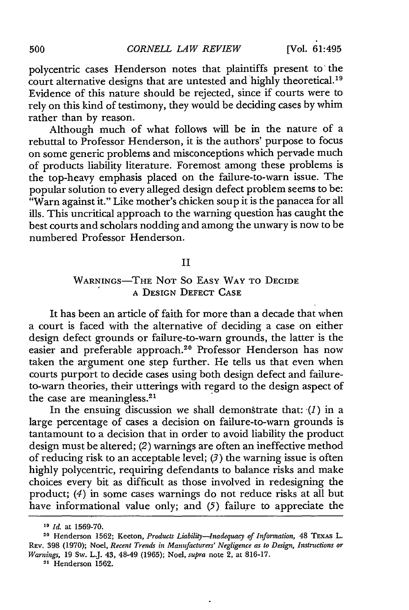polycentric cases Henderson notes that plaintiffs present to the court alternative designs that are untested and highly theoretical. <sup>19</sup> Evidence of this nature should be rejected, since if courts were to rely on this kind of testimony, they would be deciding cases by whim rather than by reason.

Although much of what follows will be in the nature of a rebuttal to Professor Henderson, it is the authors' purpose to focus on some generic problems and misconceptions which pervade much of products liability literature. Foremost among these problems is the top-heavy emphasis placed on the failure-to-warn issue. The popular solution to every alleged design defect problem seems to be: "Warn against it." Like mother's chicken soup it is the panacea for all ills. This uncritical approach to the warning question has caught the best courts and scholars nodding and among the unwary is now to be numbered Professor Henderson.

#### II

#### WARNINGS-THE NOT So EASY WAY TO DECIDE A DESIGN DEFECT CASE

It has been an article of faith for more than a decade that when a court is faced with the alternative of deciding a case on either design defect grounds or failure-to-warn grounds, the latter is the easier and preferable approach.20 Professor Henderson has now taken the argument one step further. He tells us that even when courts purport to decide cases using both design defect and failureto-warn theories, their utterings with regard to the design aspect of the case are meaningless. <sup>21</sup>

In the ensuing discussion we shall demonstrate that:  $(1)$  in a large percentage of cases a decision on failure-to-warn grounds is tantamount to a decision that in order to avoid liability the product design must be altered; *(2)* warnings are often an ineffective method of reducing risk to an acceptable level; (3) the warning issue is often highly polycentric, requiring defendants to balance risks and make choices every bit as difficult as those involved in redesigning the product; (4) in some cases warnings do not reduce risks at all but have informational value only; and (5) failure to appreciate the

**<sup>19</sup>** *Id.* at 1569-70.

**<sup>20</sup>**Henderson 1562; Keeton, *Products Liability-Inadequacy of Information,* 48 TEXAS L. REv. 398 (1970); Noel, *Recent Trends in Manufacturers' Negligence as to Design, Instructions or Warnings,* 19 Sw. L.J. 43, 48-49 (1965); Noel, *supra* note 2, at 816-17.

**<sup>21</sup>** Henderson 1562.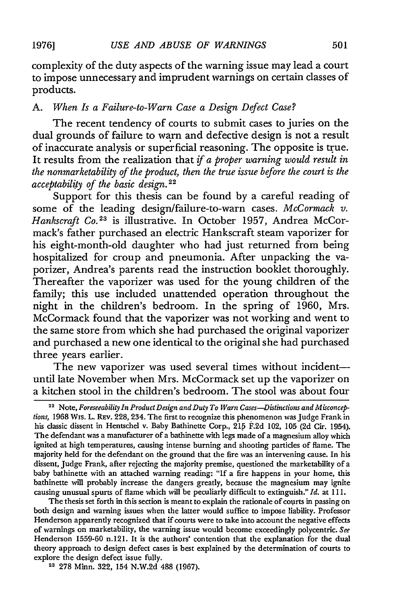complexity of the duty aspects of the warning issue may lead a court to impose unnecessary and imprudent warnings on certain classes of products.

#### *A. When Is a Failure-to-Warn Case a Design Defect Case?*

The recent tendency of courts to submit cases to juries on the dual grounds of failure to warn and defective design is not a result of inaccurate analysis or superficial reasoning. The opposite is true. It results from the realization that *if a proper warning would result in the nonmarketability of the product, then the true issue before the court is the acceptability of the basic design.22*

Support for this thesis can be found by a careful reading of some of the leading design/failure-to-warn cases. *McCormack v.* Hankscraft Co.<sup>23</sup> is illustrative. In October 1957, Andrea McCormack's father purchased an electric Hankscraft steam vaporizer for his eight-month-old daughter who had just returned from being hospitalized for croup and pneumonia. After unpacking the vaporizer, Andrea's parents read the instruction booklet thoroughly. Thereafter the vaporizer was used for the young children of the family; this use included unattended operation throughout the night in the children's bedroom. In the spring of 1960, Mrs. McCormack found that the vaporizer was not working and went to the same store from which she had purchased the original vaporizer and purchased a new one identical to the original she had purchased three years earlier.

The new vaporizer was used several times without incidentuntil late November when Mrs. McCormack set up the vaporizer on a kitchen stool in the children's bedroom. The stool was about four

The thesis set forth in this section is meant to explain the rationale of coprts in passing on both design and warning issues when the latter would suffice to impose liability. Professor Henderson apparently recognized that if courts were to take into account the negative effects of warnings on marketability, the warning issue would become exceedingly polycentric. *See* Henderson 1559-60 n.121. It is the authors' contention that the explanation for the dual theory approach to design defect cases is best explained by the determination of courts to explore the design defect issue fully.

**<sup>23</sup>**278 Minn. 322, 154 N.W.2d 488 (1967).

**<sup>22</sup>** Note, *Foreseeability In Product Design and Duty To Warn Cases-Distinctions and Misconceptions,* 1968 Wis. L. REv. 228, 234. The first to recognize this phenomenon was Judge Frank in his classic dissent in Hentschel v. Baby Bathinette Corp., 215 F.2d 102, 105 (2d Cir. 1954). The defendant was a manufacturer of a bathinette with legs made of a magnesium alloy which ignited at high temperatures, causing intense burning and shooting particles of flame. The majority held for the defendant on the ground that the fire was an intervening cause. In his dissent, Judge Frank, after rejecting the majority premise, questioned the marketability of a baby bathinette with an attached warning reading: "If a fire happens in your home, this bathinette will probably increase the dangers greatly, because the magnesium may ignite causing unusual spurts of flame which will be peculiarly difficult to extinguish." *Id.* at 111.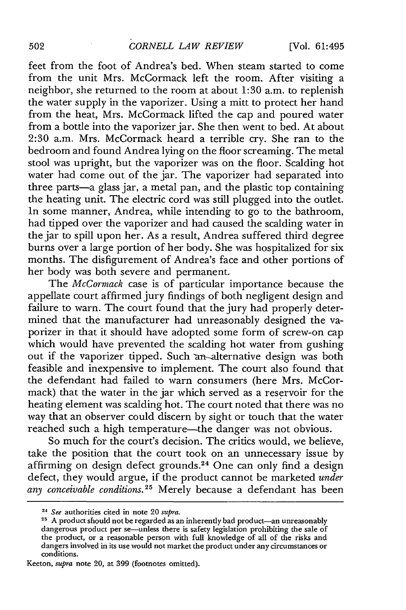feet from the foot of Andrea's bed. When steam started to come from the unit Mrs. McCormack left the room. After visiting a neighbor, she returned to the room at about 1:30 a.m. to replenish the water supply in the vaporizer. Using a mitt to protect her hand from the heat, Mrs. McCormack lifted the cap and poured water from a bottle into the vaporizer jar. She then went to bed. At about 2:30 a.m. Mrs. McCormack heard a terrible cry. She ran to the bedroom and found Andrea lying on the floor screaming. The metal stool was upright, but the vaporizer was on the floor. Scalding hot water had come out of the jar. The vaporizer had separated into three parts-a glass jar, a metal pan, and the plastic top containing the heating unit. The electric cord was still plugged into the outlet. In some manner, Andrea, while intending to go to the bathroom, had tipped over the vaporizer and had caused the scalding water in the jar to spill upon her. As a result, Andrea suffered third degree burns over a large portion of her body. She was hospitalized for six months. The disfigurement of Andrea's face and other portions of her body was both severe and permanent.

The *McCormack* case is of particular importance because the appellate court affirmed jury findings of both negligent design and failure to warn. The court found that the jury had properly determined that the manufacturer had unreasonably designed the vaporizer in that it should have adopted some form of screw-on cap which would have prevented the scalding hot water from gushing out if the vaporizer tipped. Such am-alternative design was both feasible and inexpensive to implement. The court also found that the defendant had failed to warn consumers (here Mrs. McCormack) that the water in the jar which served as a reservoir for the heating element was scalding hot. The court noted that there was no way that an observer could discern by sight or touch that the water reached such a high temperature—the danger was not obvious.

So much for the court's decision. The critics would, we believe, take the position that the court took on an unnecessary issue by affirming on design defect grounds.<sup>24</sup> One can only find a design defect, they would argue, if the product cannot be marketed *under any conceivable conditions.*<sup>25</sup> Merely because a defendant has been

<sup>24</sup>*See* authorities cited in note 20 *supra.*

<sup>&</sup>lt;sup>25</sup>A product should not be regarded as an inherently bad product-an unreasonably dangerous product per se—unless there is safety legislation prohibiting the sale of the product, or a reasonable person with full knowledge of all of the risks and dangers involved in its use would not market the product under any circumstances or conditions.

Keeton, *supra* note 20, at 399 (footnotes omitted).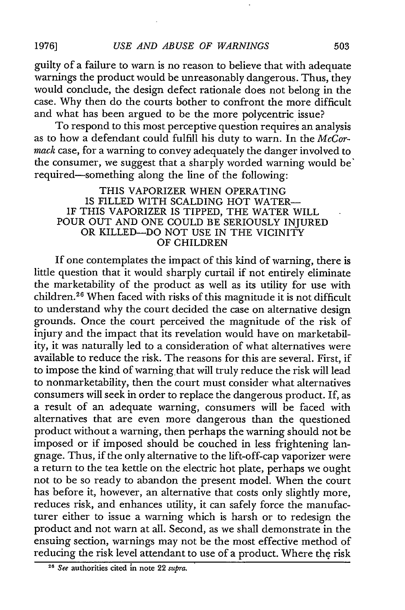guilty of a failure to warn is no reason to believe that with adequate warnings the product would be unreasonably dangerous. Thus, they would conclude, the design defect rationale does not belong in the case. Why then do the courts bother to confront the more difficult and what has been argued to be the more polycentric issue?

To respond to this most perceptive question requires an analysis as to how a defendant could fulfill his duty to warn. In the *McCormack* case, for a warning to convey adequately the danger involved to the consumer, we suggest that a sharply worded warning would be' required-something along the line of the following:

#### THIS VAPORIZER WHEN OPERATING IS FILLED WITH SCALDING HOT WATER-IF THIS VAPORIZER IS TIPPED, THE WATER WILL POUR OUT AND ONE COULD BE SERIOUSLY INJURED OR KILLED-DO NOT USE IN THE VICINITY OF CHILDREN

If one contemplates the impact of this kind of warning, there is little question that it would sharply curtail if not entirely eliminate the marketability of the product as well as its utility for use with children. 26 When faced with risks of this magnitude it is not difficult to understand why the court decided the case on alternative design grounds. Once the court perceived the magnitude of the risk of injury and the impact that its revelation would have on marketability, it was naturally led to a consideration of what alternatives were available to reduce the risk. The reasons for this are several. First, if to impose the kind of warning-that will truly reduce the risk will lead to nonmarketability, then the court must consider what alternatives consumers will seek in order to replace the dangerous product. If, as a result of an adequate warning, consumers will be faced with alternatives that are even more dangerous than the questioned product without a warning, then perhaps the warning should not be imposed or if imposed should be couched in less frightening language. Thus, if the only alternative to the lift-off-cap vaporizer were a return to the tea kettle on the electric hot plate, perhaps we ought not to be so ready to abandon the present model. When the court has before it, however, an alternative that costs only slightly more, reduces risk, and enhances utility, it can safely force the manufacturer either to issue a warning which is harsh or to redesign the product and not warn at all. Second, as we shall demonstrate in the ensuing section, warnings may not be the most effective method of reducing the risk level attendant to use of a product. Where the risk

<sup>&</sup>lt;sup>26</sup> See authorities cited in note 22 supra.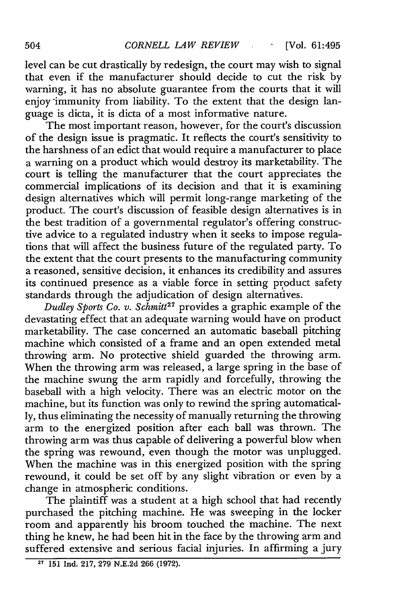level can be cut drastically by redesign, the court may wish to signal that even if the manufacturer should decide to cut the risk by warning, it has no absolute guarantee from the courts that it will enjoy immunity from liability. To the extent that the design language is dicta, it is dicta of a most informative nature.

The most important reason, however, for the court's discussion of the design issue is pragmatic. It reflects the court's sensitivity to the harshness of an edict that would require a manufacturer to place a warning on a product which would destroy its marketability. The court is telling the manufacturer that the court appreciates the commercial implications of its decision and that it is examining design alternatives which will permit long-range marketing of the product. The court's discussion of feasible design alternatives is in the best tradition of a governmental regulator's offering constructive advice to a regulated industry when it seeks to impose regulations that will affect the business future of the regulated party. To the extent that the court presents to the manufacturing community a reasoned, sensitive decision, it enhances its credibility and assures its continued presence as a viable force in setting product safety standards through the adjudication of design alternatives.

*Dudley Sports Co. v. Schmitt27* provides a graphic example of the devastating effect that an adequate warning would have on product marketability. The case concerned an automatic baseball pitching machine which consisted of a frame and an open extended metal throwing arm. No protective shield guarded the throwing arm. When the throwing arm was released, a large spring in the base of the machine swung the arm rapidly and forcefully, throwing the baseball with a high velocity. There was an electric motor on the machine, but its function was only to rewind the spring automatically, thus eliminating the necessity of manually returning the throwing arm to the energized position after each ball was thrown. The throwing arm was thus capable of delivering a powerful blow when the spring was rewound, even though the motor was unplugged. When the machine was in this energized position with the spring rewound, it could be set off by any slight vibration or even by a change in atmospheric conditions.

The plaintiff was a student at a high school that had recently purchased the pitching machine. He was sweeping in the locker room and apparently his broom touched the machine. The next thing he knew, he had been hit in the face by the throwing arm and suffered extensive and serious facial injuries. In affirming a jury

**<sup>27</sup>151 Ind.** 217, **279 N.E.2d 266** (1972).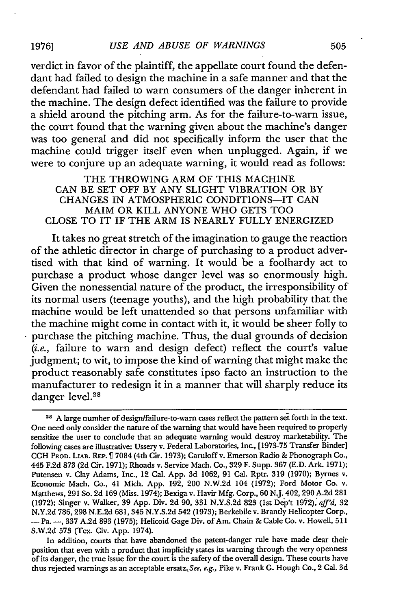verdict in favor of the plaintiff, the appellate court found the defendant had failed to design the machine in a safe manner and that the defendant had failed to warn consumers of the danger inherent in the machine. The design defect identified was the failure to provide a shield around the pitching arm. As for the failure-to-warn issue, the court found that the warning given about the machine's danger was too general and did not specifically inform the user that the machine could trigger itself even when unplugged. Again, if we were to conjure up an adequate warning, it would read as follows:

THE THROWING ARM OF THIS **MACHINE CAN** BE **SET** OFF BY **ANY** SLIGHT VIBRATION OR BY **CHANGES** IN ATMOSPHERIC CONDITIONS-IT **CAN** MAIM OR KILL **ANYONE** WHO **GETS** TOO **CLOSE** TO IT IF THE ARM IS NEARLY **FULLY** ENERGIZED

It takes no great stretch of the imagination to gauge the reaction of the athletic director in charge of purchasing to a product advertised with that kind of warning. It would be a foolhardy act to purchase a product whose danger level was so enormously high. Given the nonessential nature of the product, the irresponsibility of its normal users (teenage youths), and the high probability that the machine would be left unattended so that persons unfamiliar with the machine might come in contact with it, it would be sheer folly to purchase the pitching machine. Thus, the dual grounds of decision *(i.e.,* failure to warn and design defect) reflect the court's value judgment; to wit, to impose the kind of warning that might make the product reasonably safe constitutes ipso facto an instruction to the manufacturer to redesign it in a manner that will sharply reduce its danger level.<sup>28</sup>

In addition, courts that have abandoned the patent-danger rule have made clear their position that even with a product that implicitly states its warning through the very openness of its danger, the true issue for the court is the safety of the overall design. These courts have thus rejected warnings as an acceptable ersatzSee, *e.g.,* Pike v. Frank **G.** Hough Co., 2 Cal. **3d**

**<sup>28</sup>A** large number of design/failure-to-warn cases reflect the pattern set forth in the text. One need only consider the nature of the warning that would have been required to properly sensitize the user to conclude that an adequate warning would destroy marketability. The following cases are illustrative: Ussery v. Federal Laboratories, Inc., **[1973-75** Transfer Binder] **CCH PROD. LIAB. REP. 7084** (4th Cir. **1973);** Caruloffv. Emerson Radio **&** Phonograph Co., 445 **F.2d 873 (2d** Cir. **1971);** Rhoads v. Service Mach. Co., **329** F. Supp. **367 (E.D.** Ark. **1971);** Putensen v. Clay Adams, Inc., 12 Cal. **App. 3d 1062, 91** Cal. Rptr. **319 (1970);** Byrnes v. Economic Mach. **Co.,** 41 Mich. **App. 192,** 200 **N.W.2d** 104 **(1972);** Ford Motor **Co.** v. Matthews, **291** So. **2d 169** (Miss. 1974); Bexiga v. Havir **Mfg.** Corp., **60 N.J.** 402, **290 A.2d 281 (1972);** Singer v. Walker, **39 App.** Div. **2d 90, 331 N.Y.S.2d 823** (1st Dep't 1972), *aff'd,* **32 N.Y.2d 786, 298 N.E.2d 681,345 N.Y.S.2d** 542 (1973); Berkebile v. Brandy Helicopter Corp., **-** Pa. **-, 337 A.2d 893 (1975);** Helicoid Gage Div. of Am. Chain **&** Cable **Co.** v. Howell, **511 S.W.2d 573** (Tex. Civ. **App.** 1974).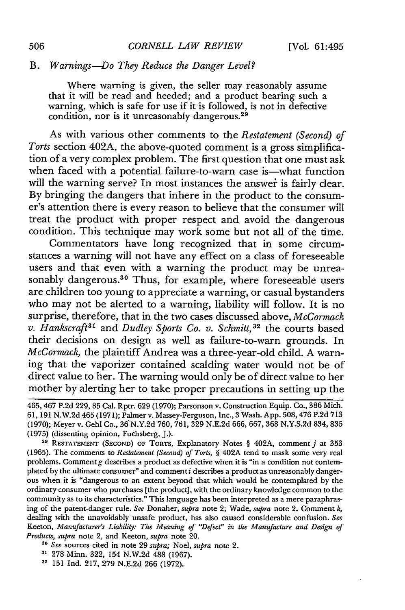#### B. *Warnings-Do They Reduce the Danger Level?*

Where warning is given, the seller may reasonably assume that it will be read and heeded; and a product bearing such a warning, which is safe for use if it is followed, is not in defective condition, nor is it unreasonably dangerous.<sup>29</sup>

As with various other comments to the *Restatement (Second) of Torts* section 402A, the above-quoted comment is a gross simplification of a very complex problem. The first question that one must ask when faced with a potential failure-to-warn case is—what function will the warning serve? In most instances the answer is fairly clear. By bringing the dangers that inhere in the product to the consumer's attention there is every reason to believe that the consumer will treat the product with proper respect and avoid the dangerous condition. This technique may work some but not all of the time.

Commentators have long recognized that in some circumstances a warning will not have any effect on a class of foreseeable users and that even with a warning the product may be unreasonably dangerous.<sup>30</sup> Thus, for example, where foreseeable users are children too young to appreciate a warning, or casual bystanders who may not be alerted to a warning, liability will follow. It is no surprise, therefore, that in the two cases discussed above, *McCormack v. Hankscraft*<sup>31</sup> and *Dudley Sports Co. v. Schmitt*,<sup>32</sup> the courts based their decisions on design as well as failure-to-warn grounds. In *McCormack,* the plaintiff Andrea was a three-year-old child. A warning that the vaporizer contained scalding water would not be of direct value to her. The warning would only be of direct value to her mother by alerting her to take proper precautions in setting up the

465, 467 P.2d 229, 85 Cal. Rptr. 629 (1970); Parsonson v. Construction Equip. Co., 386 Mich. 61, 191 N.W.2d 465 (1971); Palmer v. Massey-Ferguson, Inc., 3 Wash. App. 508,476 P.2d 713 (1970); Meyer v. Gehl Co., 36"N.Y.2d 760, 761, 329 N.E.2d 666, 667, 368 N.Y.S.2d 834, 835 (1975) (dissenting opinion, Fuchsberg, J.).

**29 RESTATEMENT (SECOND)** OF TORTS, Explanatory Notes § 402A, comment *j* at **353** (1965). The comments to *Restatement (Second) of Torts, §* 402A tend to mask some very real problems. Comment  $g$  describes a product as defective when it is "in a condition not contemplated by the ultimate consumer" and comment i describes a product as unreasonably dangerous when it is "dangerous to an extent beyond that which would be contemplated by the ordinary consumer who purchases [the product], with the ordinary knowledge common to the community as to its characteristics." This language has been interpreted as a mere paraphrasing of the patent-danger rule. *See* Donaher, *supra* note 2; Wade, *supra* note 2. Comment *k,* dealing with the unavoidably unsafe product, has also caused considerable confusion. *See* Keeton, *Manufacturer's Liability: The Meaning of "Defect" in the Manufacture and Design of Products, supra* note 2, and Keeton, *supra* note 20.

*o See* sources cited in note 29 *supra;* Noel, *supra* note 2.

- **<sup>31</sup>**278 Minn. 322, 154 N.W.2d 488 (1967).
- **<sup>32</sup>**151 Ind. 217, 279 N.E.2d 266 (1972).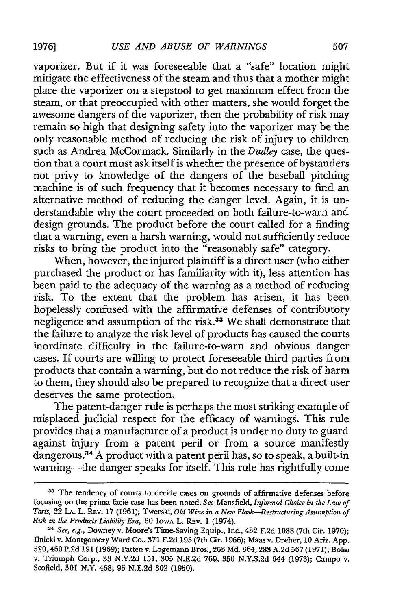vaporizer. But if it was foreseeable that a "safe" location might mitigate the effectiveness of the steam and thus that a mother might place the vaporizer on a stepstool to get maximum effect from the steam, or that preoccupied with other matters, she would forget the awesome dangers of the vaporizer, then the probability of risk may remain so high that designing safety into the vaporizer may be the only reasonable method of reducing the risk of injury to children such as Andrea McCormack. Similarly in the *Dudley* case, the question that a court must ask itself is whether the presence of bystanders not privy to knowledge of the dangers of the baseball pitching machine is of such frequency that it becomes necessary to find an alternative method of reducing the danger level. Again, it is understandable why the court proceeded on both failure-to-warn and design grounds. The product before the court called for a finding that a warning, even a harsh warning, would not sufficiently reduce risks to bring the product into the "reasonably safe" category.

When, however, the injured plaintiff is a direct user (who either purchased the product or has familiarity with it), less attention has been paid to the adequacy of the warning as a method of reducing risk. To the extent that the problem has arisen, it has been hopelessly confused with the affirmative defenses of contributory negligence and assumption of the risk.33 We shall demonstrate that the failure to analyze the risk level of products has caused the courts inordinate difficulty in the failure-to-warn and obvious danger cases. If courts are willing to protect foreseeable third parties from products that contain a warning, but do not reduce the risk of harm to them, they should also be prepared to recognize that a direct user deserves the same protection.

The patent-danger rule is perhaps the most striking example of misplaced judicial respect for the efficacy of warnings. This rule provides that a manufacturer of a product is under no duty to guard against injury from a patent peril or from a source manifestly dangerous. 34 A product with a patent peril has, so to speak, a built-in warning—the danger speaks for itself. This rule has rightfully come

**<sup>33</sup>**The tendency of courts to decide cases on grounds of affirmative defenses before focusing on the prima facie case has been noted. *See* Mansfield, *Informed Choice in the Law of Torts,* 22 **LA.** L. REv. 17 (1961); Twerski, *Old Wine in a New Flask-Restructuring Assumption of Risk in the Products Liability Era,* 60 IowA L. REV. 1 (1974).

*<sup>34</sup> See, e.g.,* Downey v. Moore's Time-Saving Equip., Inc., 432 F.2d 1088 (7th Cir. 1970); Ilnicki v. Montgomery Ward Co., 371 F.2d 195 (7th Cir. 1966); Maas v. Dreher, 10 Ariz. App. 520,460 P.2d 191 (1969); Patten v. Logemann Bros., 263 Md. 364,283 A.2d 567 (1971); Bohm v. Triumph Corp., 33 N.Y.2d 151, 305 N.E.2d 769, 350 N.Y.S.2d 644 (1973); Campo v. Scofield, 301 N.Y. 468, **95** N.E.2d 802 (1950).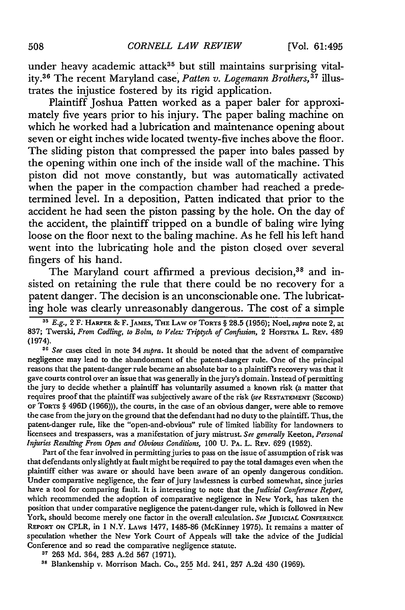under heavy academic attack<sup>35</sup> but still maintains surprising vitality.36 The recent Maryland case, *Patten v. Logemann Brothers,37* illustrates the injustice fostered by its rigid application.

Plaintiff Joshua Patten worked as a paper baler for approximately five years prior to his injury. The paper baling machine on which he worked had a lubrication and maintenance opening about seven or eight inches wide located twenty-five inches above the floor. The sliding piston that compressed the paper into bales passed by the opening within one inch of the inside wall of the machine. This piston did not move constantly, but was automatically activated when the paper in the compaction chamber had reached a predetermined level. In a deposition, Patten indicated that prior to the accident he had seen the piston passing by the hole. On the day of the accident, the plaintiff tripped on a bundle of baling wire lying loose on the floor next to the baling machine. As he fell his left hand went into the lubricating hole and the piston closed over several fingers of his hand.

The Maryland court affirmed a previous decision,<sup>38</sup> and insisted on retaining the rule that there could be no recovery for a patent danger. The decision is an unconscionable one. The lubricating hole was clearly unreasonably dangerous. The cost of a simple

*<sup>35</sup>***E.g.,** 2 F. HARPER **&** F. JAMES, THE LAW **OF** TORTS § 28.5 (1956); Noel, *supra* note 2, at 837; Twerski, *From Codling, to Bolm, to Velez: Triptych of Confusion*, 2 HOFSTRA L. REV. 489 (1974).

*<sup>36</sup>See* cases cited in note 34 *supra.* It should be noted that the advent of comparative negligence may lead to the abandonment of the patent-danger rule. One of the principal reasons that the patent-danger rule became an absolute bar to a plaintiffs recovery was that it gave courts control over an issue that was generally in thejury's domain. Instead of permitting the jury to decide whether a plaintiff has voluntarily assumed a known risk (a matter that requires proof that the plaintiff was subjectively aware of the risk *(see* RESTATEMENT **(SECOND)** OF TORTS § 496D (1966))), the courts, in the case of an obvious danger, were able to remove the case from the jury on the ground that the defendant had no duty to the plaintiff. Thus, the patent-danger rule, like the "open-and-obvious" rule of limited liability for landowners to licensees and trespassers, was a manifestation of jury mistrust. *See generally* Keeton, *Personal Injuries Resulting From Open and Obvious Conditions, 100* U. PA. L. REV. 629 (1952).

Part of the fear involved in permitting juries to pass on the issue of assumption of risk was that defendants only slightly at fault might be required to pay the total damages even when the plaintiff either was aware or should have been aware of an openly dangerous condition. Under comparative negligence, the fear of jury lawlessness is curbed somewhat, since juries have a tool for comparing fault. It is interesting to note that *the Judicial Conference Report,* which recommended the adoption of comparative negligence in New York, has taken the position that under comparative negligence the patent-danger rule, which is followed in New York, should become merely one factor in the overall calculation. See JUDICIAL CONFERENCE REPORT **ON** CPLR, in 1 N.Y. LAWS 1477, 1485-86 (McKinney 1975). It remains a matter of speculation whether the New York Court of Appeals will take the advice of the Judicial Conference and so read the comparative negligence statute.

**<sup>37</sup>**263 Md. 364, 283 A.2d 567 (1971).

**3** Blankenship v. Morrison Mach. Co., 255 Md. 241, 257 A.2d 430 (1969).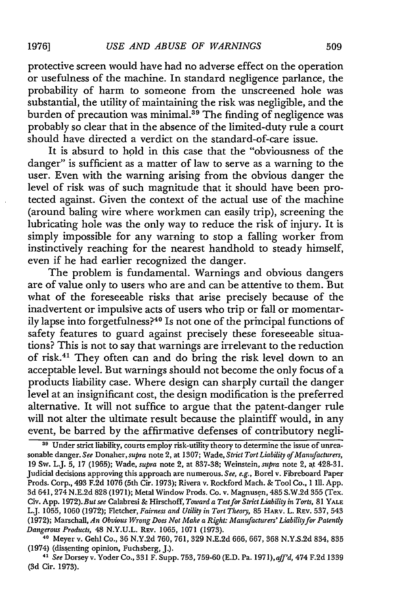protective screen would have had no adverse effect on the operation or usefulness of the machine. In standard negligence parlance, the probability of harm to someone from the unscreened hole was substantial, the utility of maintaining the risk was negligible, and the burden of precaution was minimal.<sup>39</sup> The finding of negligence was probably so clear that in the absence of the limited-duty rule a court should have directed a verdict on the standard-of-care issue.

It is absurd to hold in this case that the "obviousness of the danger" is sufficient as a matter of law to serve as a warning to the user. Even with the warning arising from the obvious danger the level of risk was of such magnitude that it should have been protected against. Given the context of the actual use of the machine (around baling wire where workmen can easily trip), screening the lubricating hole was the only way to reduce the risk of injury. It is simply impossible for any warning to stop a falling worker from instinctively reaching for the nearest handhold to steady himself, even if he had earlier recognized the danger.

The problem is fundamental. Warnings and obvious dangers are of value only to users who are and can be attentive to them. But what of the foreseeable risks that arise precisely because of the inadvertent or impulsive acts of users who trip or fall or momentarily lapse into forgetfulness?<sup>40</sup> Is not one of the principal functions of safety features to guard against precisely these foreseeable situations? This is not to say that warnings are irrelevant to the reduction of risk.41 They often can and do bring the risk level down to an acceptable level. But warnings should not become the only focus of a products liability case. Where design can sharply curtail the danger level at an insignificant cost, the design modification is the preferred alternative. It will not suffice to argue that the patent-danger rule will not alter the ultimate result because the plaintiff would, in any event, be barred by the affirmative defenses of contributory negli-

<sup>&</sup>lt;sup>39</sup> Under strict liability, courts employ risk-utility theory to determine the issue of unreasonable danger. *See* Donaher, *supra* note 2, at 1307; Wade, *Strict Tort Liability of Manufacturers,* **19** Sw. L.J. **5, 17 (1965);** Wade, *supra* note 2, at 837-38; Weinstein, *supra* note 2, at 428-31. Judicial decisions approving this approach are numerous. *See, e.g.,* Borel v. Fibreboard Paper Prods. Corp., 493 F.2d **1076** (5th Cir. 1973); Rivera v. Rockford Mach. & Tool Co., **I** Il. App. 3d 641,274 N.E.2d 828 (1971); Metal Window Prods. Co. v. Magnusen, 485 S.W.2d **355** (Tex. Civ. **App.** *1972).But see* Calabresi & Hirschoff, *Toward a Test for Strict Liability in Torts,* 81 **YALE** L.J. **1055,** 1060 (1972); Fletcher, *Fairness and Utility in Tort Theory,* 85 HARV. L. REV. 537, 543 (1972); Marschall, *An Obvious Wrong Does Not Make a Right: Manufacturers' Liability for Patently Dangerous Products,* 48 N.Y.U.L. **REV.** 1065, 1071 (1973).

**<sup>40</sup>**Meyer v. Gehl Co., 36 N.Y.2d 760, 761, 329 N.E.2d 666, 667, 368 N.Y.S.2d 834, **835** (1974) (dissenting opinion, Fuchsberg, J.).

<sup>41</sup>*See* Dorsey v. Yoder Co., 331 F. Supp. 753, 759-60 (E.D. Pa. 1971), *aff'd,* 474 F.2d 1339 (3d Cir. 1973).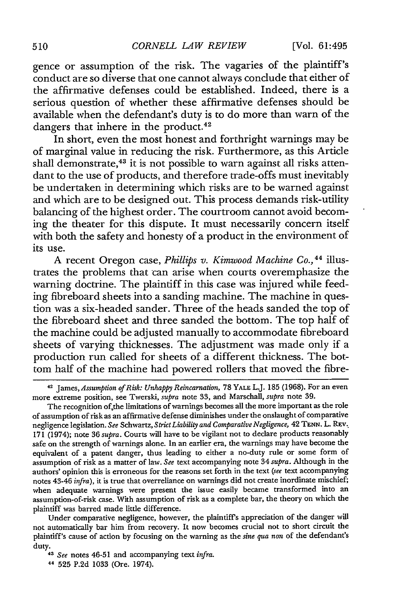gence or assumption of the risk. The vagaries of the plaintiff's conduct are so diverse that one cannot always conclude that either of the affirmative defenses could be established. Indeed, there is a serious question of whether these affirmative defenses should be available when the defendant's duty is to do more than warn of the dangers that inhere in the product.<sup>42</sup>

In short, even the most honest and forthright warnings may be of marginal value in reducing the risk. Furthermore, as this Article shall demonstrate, $43$  it is not possible to warn against all risks attendant to the use of products, and therefore trade-offs must inevitably be undertaken in determining which risks are to be warned against and which are to be designed out. This process demands risk-utility balancing of the highest order. The courtroom cannot avoid becoming the theater for this dispute. It must necessarily concern itself with both the safety and honesty of a product in the environment of its use.

A recent Oregon case, *Phillips v. Kimwood Machine Co., <sup>44</sup>*illustrates the problems that can arise when courts overemphasize the warning doctrine. The plaintiff in this case was injured while feeding fibreboard sheets into a sanding machine. The machine in question was a six-headed sander. Three of the heads sanded the top of the fibreboard sheet and three sanded the bottom. The top half of the machine could be adjusted manually to accommodate fibreboard sheets of varying thicknesses. The adjustment was made only if a production run called for sheets of a different thickness. The bottom half of the machine had powered rollers that moved the fibre-

Under comparative negligence, however, the plaintiff's appreciation of the danger will not automatically bar him from recovery. It now becomes crucial not to short circuit the plaintiff's cause of action **by** focusing on the warning as the *sine qua non* of the defendant's duty.

<sup>43</sup>*See* notes 46-51 and accompanying text *infra.*

<sup>42</sup>*James,Assumption of Risk: Unhappy Reincarnation,* 78 **YALE** L.J. 185 (1968). For an even more extreme position, see Twerski, *supra* note 33, and Marschall, *supra* note 39.

The recognition of the limitations of warnings becomes all the more important as the role of assumption of risk as an affirmative defense diminishes under the onslaught of comparative negligence legislation. *See* Schwartz, *Strict Liability and Comparative Negligence,* 42 **TENN.** L. REv.. 171 (1974); note 36 *supra.* Courts will have to be vigilant not to declare products reasonably safe on the strength of warnings alone. In an earlier era, the warnings may have become the equivalent of a patent danger, thus leading to either a no-duty rule or some form of assumption of risk as a matter of law. *See* text accompanying note 34 *supra.* Although in the authors' opinion this is erroneous for the reasons set forth in the text *(see* text accompanying notes 43-46 *infra),* it is true that overreliance on warnings did not create inordinate mischief; when adequate warnings were present the issue easily became transformed into an assumption-of-risk case. With assumption of risk as a complete bar, the theory on which the plaintiff was barred made little difference.

**<sup>44</sup>** 525 P.2d 1033 (Ore. 1974).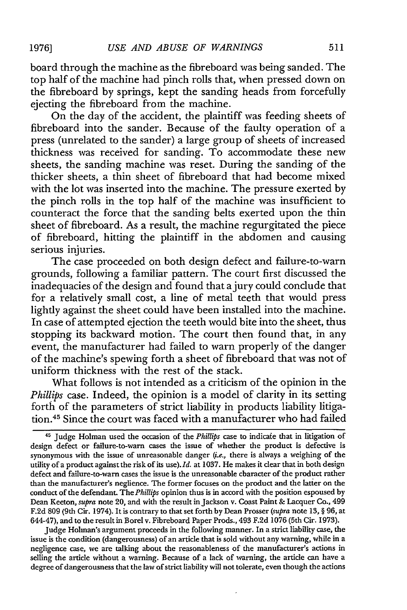board through the machine as the fibreboard was being sanded. The top half of the machine had pinch rolls that, when pressed down on the fibreboard by springs, kept the sanding heads from forcefully ejecting the fibreboard from the machine.

On the day of the accident, the plaintiff was feeding sheets of fibreboard into the sander. Because of the faulty operation of a press (unrelated to the sander) a large group of sheets of increased thickness was received for sanding. To accommodate these new sheets, the sanding machine was reset. During the sanding of the thicker sheets, a thin sheet of fibreboard that had become mixed with the lot was inserted into the machine. The pressure exerted by the pinch rolls in the top half of the machine was insufficient to counteract the force that the sanding belts exerted upon the thin sheet of fibreboard. As a result, the machine regurgitated the piece of fibreboard, hitting the plaintiff in the abdomen and causing serious injuries.

The case proceeded on both design defect and failure-to-warn grounds, following a familiar pattern. The court first discussed the inadequacies of the design and found that a jury could conclude that for a relatively small cost, a line of metal teeth that would press lightly against the sheet could have been installed into the machine. In case of attempted ejection the teeth would bite into the sheet, thus stopping its backward motion. The court then found that, in any event, the manufacturer had failed to warn properly of the danger of the machine's spewing forth a sheet of fibreboard that was not of uniform thickness with the rest of the stack.

What follows is not intended as a criticism of the opinion in the *Phillips* case. Indeed, the opinion is a model of clarity in its setting forth of the parameters of strict liability in products liability litigation.45 Since the court was faced with a manufacturer who had failed

Judge Holman's argument proceeds in the following manner. In a strict liability case, the issue is the condition (dangerousness) of an article that is sold without any warning, while in a negligence case, we are talking about the reasonableness of the manufacturer's actions in selling the article without a warning. Because of a lack of warning, the article can have a degree of dangerousness that the law of strict liability will not tolerate, even though the actions

**<sup>45</sup>**Judge Holman used the occasion of the *Phillips* case to indicate that in litigation of design defect or failure-to-warn cases the issue of whether the product is defective is synonymous with the issue of unreasonable danger *(i.e.,* there is always a weighing of the utility of a product against the risk of its use). *Id.* at 1037. He makes it clear that in both design defect and failure-to-warn cases the issue is the unreasonable character of the product rather than the manufacturer's neglience. The former focuses on the product and the latter on the conduct of the defendant. The *Phillips* opinion thus is in accord with the position espoused by Dean Keeton, *supra* note 20, and with the result in Jackson v. Coast Paint & Lacquer Co., 499 F.2d 809 (9th Cir. 1974). It is contrary to that set forth by Dean Prosser *(supra* note 13, § 96, at 644-47), and to the result in Borel v. Fibreboard Paper Prods., 493 F.2d 1076 (5th Cir. 1973).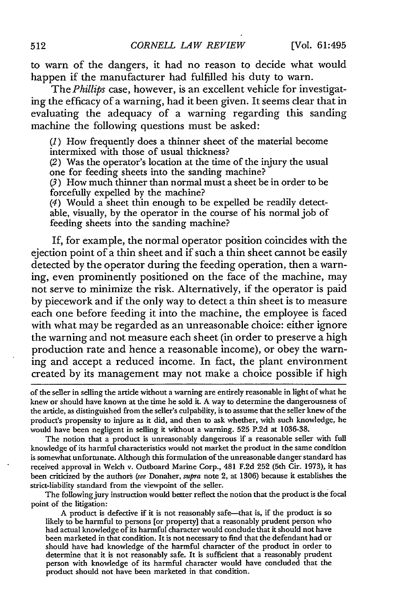to warn of the dangers, it had no reason to decide what would happen if the manufacturer had fulfilled his duty to warn.

The *Phillips* case, however, is an excellent vehicle for investigating the efficacy of a warning, had it been given. It seems clear that in evaluating the adequacy of a warning regarding this sanding machine the following questions must be asked:

*(1)* How frequently does a thinner sheet of the material become intermixed with those of usual thickness?

*(2)* Was the operator's location at the time of the injury the usual one for feeding sheets into the sanding machine?

*(3)* How much thinner than normal must a sheet be in order to be forcefully expelled by the machine?

(4) Would a sheet thin enough to be expelled be readily detectable, visually, by the operator in the course of his normal job of feeding sheets into the sanding machine?

If, for example, the normal operator position coincides with the ejection point of a thin sheet and if such a thin sheet cannot be easily detected by the operator during the feeding operation, then a warning, even prominently positioned on the face of the machine, may not serve to minimize the risk. Alternatively, if the operator is paid by piecework and if the only way to detect a thin sheet is to measure each one before feeding it into the machine, the employee is faced with what may be regarded as an unreasonable choice: either ignore the warning and not measure each sheet (in order to preserve a high production rate and hence a reasonable income), or obey the warning and accept a reduced income. In fact, the plant environment created by its management may not make a choice possible if high

of the seller in selling the article without a warning are entirely reasonable in light of what he knew or should have known at the time he sold it. A way to determine the dangerousness of the article, as distinguished from the seller's culpability, is to assume that the seller knew of the product's propensity to injure as it did, and then to ask whether, with such knowledge, he would have been negligent in selling it without a warning. 525 P.2d at 1036-38.

The notion that a product is unreasonably dangerous if a reasonable seller with full knowledge of its harmful characteristics would not market the product in the same condition is somewhat unfortunate. Although this formulation of the unreasonable danger standard has received approval in Welch v. Outboard Marine Corp., 481 F.2d 252 (5th Cir. 1973), it has been criticized by the authors *(see* Donaher, *supra* note 2, at 1306) because it establishes the strict-liability standard from the viewpoint of the seller.

The following jury instruction would better reflect the notion that the product is the focal point of the litigation:

A product is defective if it is not reasonably safe-that is, if the product is so likely to be harmful to persons [or property] that a reasonably prudent person who had actual knowledge of its harmful character would conclude that it should not have been marketed in that condition. It is not necessary to find that the defendant had or should have had knowledge of the harmful character of the product in order to determine that it is not reasonably safe. It is sufficient that a reasonably prudent person with knowledge of its harmful character would have concluded that the product should not have been marketed in that condition.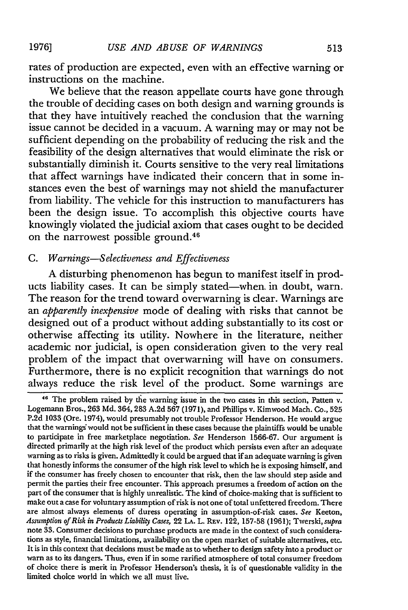rates of production are expected, even with an effective warning or instructions on the machine.

We believe that the reason appellate courts have gone through the trouble of deciding cases on both design and warning grounds is that they have intuitively reached the conclusion that the warning issue cannot be decided in a vacuum. A warning may or may not be sufficient depending on the probability of reducing the risk and the feasibility of the design alternatives that would eliminate the risk or substantially diminish it. Courts sensitive to the very real limitations that affect warnings have indicated their concern that in some instances even the best of warnings may not shield the manufacturer from liability. The vehicle for this instruction to manufacturers has been the design issue. To accomplish this objective courts have knowingly violated the judicial axiom that cases ought to be decided on the narrowest possible ground.46

## *C. Warnings-Selectiveness and Effectiveness*

A disturbing phenomenon has begun to manifest itself in products liability cases. It can be simply stated-when, in doubt, warn. The reason for the trend toward overwarning is clear. Warnings are an *apparently inexpensive* mode of dealing with risks that cannot be designed out of a product without adding substantially to its cost or otherwise affecting its utility. Nowhere in the literature, neither academic nor judicial, is open consideration given to the very real problem of the impact that overwarning will have on consumers. Furthermore, there is no explicit recognition that warnings do not always reduce the risk level of the product. Some warnings are

<sup>&</sup>lt;sup>46</sup> The problem raised by the warning issue in the two cases in this section, Patten v. Logemann Bros., **263 Md. 364,283** A.2d **567** (1971), and Phillips v. Kimwood Mach. Co., **525** P.2d **1033** (Ore. 1974), would presumably not trouble Professor Henderson. He would argue that the warnings" would not be sufficient in these cases because the plaintiffs would be unable to participate in free marketplace negotiation. *See* Henderson **1566-67.** Our argument is directed primarily at the high risk level of the product which persists even after an adequate warning as to risks is given. Admittedly it could be argued that if an adequate warning is given that honestly informs the consumer of the high risk level to which he is exposing himself, and if the consumer has freely chosen to encounter that risk, then the law should step aside and permit the parties their free encounter. This approach presumes a freedom of action on the part of the consumer that is highly unrealistic. The kind of choice-making that is sufficient to make out a case for voluntary assumption of risk is not one of total unfettered freedom. There are almost always elements of duress operating in assumption-of-risk cases. *See* Keeton, *Assumption of Risk in Products Liability Cases,* 22 **LA.** L. REv. 122, 157-58 (1961); Twerski, *supra* note 33. Consumer decisions to purchase products are made in the context of such considerations as style, financial limitations, availability on the open market of suitable alternatives, etc. It is in this context ihat decisions must be made as to whether to design safety into a product or warn as to its dangers. Thus, even if in some rarified atmosphere of total consumer freedom of choice there is merit in Professor Henderson's thesis, it is of questionable validity in the limited choice world in which we all must live.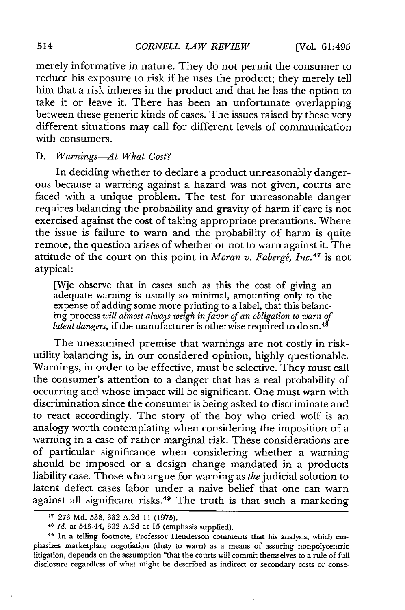merely informative in nature. They do not permit the consumer to reduce his exposure to risk if he uses the product; they merely tell him that a risk inheres in the product and that he has the option to take it or leave it. There has been an unfortunate overlapping between these generic kinds of cases. The issues raised by these very different situations may call for different levels of communication with consumers.

#### *D. Warnings--At What Cost?*

In deciding whether to declare a product unreasonably dangerous because a warning against a hazard was not given, courts are faced with a unique problem. The test for unreasonable danger requires balancing the probability and gravity of harm if care is not exercised against the cost of taking appropriate precautions. Where the issue is failure to warn and the probability of harm is quite remote, the question arises of whether or not to warn against it. The attitude of the court on this point in *Moran v. Fabergé*, *Inc.*<sup>47</sup> is not atypical:

[W]e observe that in cases such as this the cost of giving an adequate warning is usually so minimal, amounting only to the expense of adding some more printing to a label, that this balancing process *will almost always weigh in favor of an obligation to warn of latent dangers,* if the manufacturer is otherwise required to do so. <sup>48</sup>

The unexamined premise that warnings are not costly in riskutility balancing is, in our considered opinion, highly questionable. Warnings, in order to be effective, must be selective. They must call the consumer's attention to a danger that has a real probability of occurring and whose impact will be significant. One must warn with discrimination since the consumer is being asked to discriminate and to react accordingly. The story of the boy who cried wolf is an analogy worth contemplating when considering the imposition of a warning in a case of rather marginal risk. These considerations are of particular significance when considering whether a warning should be imposed or a design change mandated in a products liability case. Those who argue for warning as *the* judicial solution to latent defect cases labor under a naive belief that one can warn against all significant risks.<sup>49</sup> The truth is that such a marketing

**<sup>47</sup> 273** Md. 538, 332 **A.2d 11** (1975).

**<sup>48</sup>***Id.* at 543-44, 332 A.2d at 15 (emphasis supplied).

**<sup>49</sup>** In a telling footnote, Professor Henderson comments that his analysis, which emphasizes marketplace negotiation (duty to warn) as a means of assuring nonpolycentric litigation, depends on the assumption "that the courts will commit themselves to a rule of full disclosure regardless of what might be described as indirect or secondary costs or conse-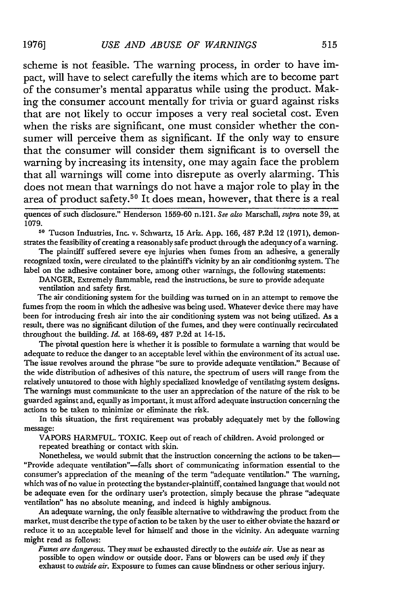scheme is not feasible. The warning process, in order to have impact, will have to select carefully the items which are to become part of the consumer's mental apparatus while using the product. Making the consumer account mentally for trivia or guard against risks that are not likely to occur imposes a very real societal cost. Even when the risks are significant, one must consider whether the consumer will perceive them as significant. If the only way to ensure that the consumer will consider them significant is to oversell the warning by increasing its intensity, one may again face the problem that all warnings will come into disrepute as overly alarming. This does not mean that warnings do not have a major role to play in the area of product safety. 50 It does mean, however, that there is a real

quences of such disclosure." Henderson 1559-60 n.121. *See also* Marschall, *supra* note **39,** at **1079.**

**-5** Tucson Industries, Inc. v. Schwartz, **15** Ariz. **App. 166, 487 P.2d** 12 **(1971),** demonstrates the feasibility of creating a reasonably safe product through the adequacy of a warning.

The plaintiff suffered severe eye injuries when fumes from an adhesive, a generally recognized toxin, were circulated to the plaintiff's vicinity **by** an air conditioning system. The label on the adhesive container bore, among other warnings, the following statements:

**DANGER,** Extremely flammable, read the instructions, be sure to provide adequate ventilation and safety first.

The **air** conditioning system for the building was turned on in an attempt to remove the fumes from the room in which the adhesive was being used. Whatever device there may have been for introducing fresh air into the air conditioning system was not being utilized. As a result, there was no significant dilution of the fumes, and they were continually recirculated throughout the building. *Id.* at **168-69, 487 P.2d** at 14-15.

The pivotal question here is whether it is possible to formulate a warning that would be adequate to reduce the danger to an acceptable level within the environment of its actual use. The issue revolves around the phrase "be sure to provide adequate ventilation." Because of the wide distribution of adhesives of this nature, the spectrum of users will range from the relatively untutored to those with **highly** specialized knowledge of ventilating system designs. The warnings must communicate to the user an appreciation of the nature of the risk to be guarded against and, equally as important, it must afford adequate instruction concerning the actions to be taken to minimize or eliminate the risk.

In this situation, the first requirement was probably adequately met **by** the following message:

VAPORS HARMFUL. TOXIC. Keep out of reach of children. Avoid prolonged or repeated breathing or contact with skin.

Nonetheless, we would submit that the instruction concerning the actions to be taken-"Provide adequate ventilation"--falls short of communicating information essential to the consumer's appreciation of the meaning of the term "adequate ventilation." The warning, which was of no value in protecting the bystander-plaintiff, contained language that would not be adequate even for the ordinary user's protection, simply because the phrase "adequate ventilation" has no absolute meaning, and indeed is highly ambignous.

An adequate warning, the only feasible alternative to withdrawing the product from the market, must describe the type of action to be taken by the user to either obviate the hazard or reduce it to an acceptable level for himself and those in the vicinity. An adequate warning might read as follows:

*Fumes are dangerous.* They *must* be exhausted directly to the *outside air.* Use as near as possible to open window or outside door. Fans or blowers can be used *only* if they exhaust to *outside air.* Exposure to fumes can cause blindness or other serious injury.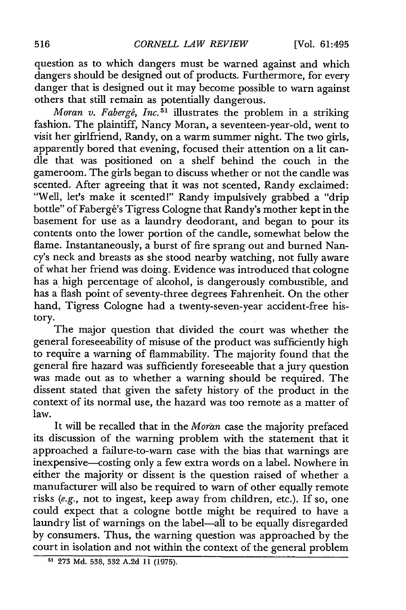question as to which dangers must be warned against and which dangers should be designed out of products. Furthermore, for every danger that is designed out it may become possible to warn against others that still remain as potentially dangerous.

*Moran v. Fabergé, Inc.*<sup>51</sup> illustrates the problem in a striking fashion. The plaintiff, Nancy Moran, a seventeen-year-old, went to visit her girlfriend, Randy, on a warm summer night. The two girls, apparently bored that evening, focused their attention on a lit candle that was positioned on a shelf behind the couch in the gameroom. The girls began to discuss whether or not the candle was scented. After agreeing that it was not scented, Randy exclaimed: "Well, let's make it scented!" Randy impulsively grabbed a "drip bottle" of Fabergé's Tigress Cologne that Randy's mother kept in the basement for use as a laundry deodorant, and began to pour its contents onto the lower portion of the candle, somewhat below the flame. Instantaneously, a burst of fire sprang out and burned Nancy's neck and breasts as she stood nearby watching, not fully aware of what her friend was doing. Evidence was introduced that cologne has a high percentage of alcohol, is dangerously combustible, and has a flash point of seventy-three degrees Fahrenheit. On the other hand, Tigress Cologne had a twenty-seven-year accident-free history.

The major question that divided the court was whether the general foreseeability of misuse of the product was sufficiently high to require a warning of flammability. The majority found that the general fire hazard was sufficiently foreseeable that a jury question was made out as to whether a warning should be required. The dissent stated that given the safety history of the product in the context of its normal use, the hazard was too remote as a matter of law.

It will be recalled that in the *Moran* case the majority prefaced its discussion of the warning problem with the statement that it approached a failure-to-warn case with the bias that warnings are inexpensive-costing only a few extra words on a label. Nowhere in either the majority or dissent is the question raised of whether a manufacturer will also be required to warn of other equally remote risks *(e.g.,* not to ingest, keep away from children, etc.). If so, one could expect that a cologne bottle might be required to have a laundry list of warnings on the label-all to be equally disregarded by consumers. Thus, the warning question was approached by the court in isolation and not within the context of the general problem

**<sup>51</sup>**273 Md. 538, 332 A.2d 11 (1975).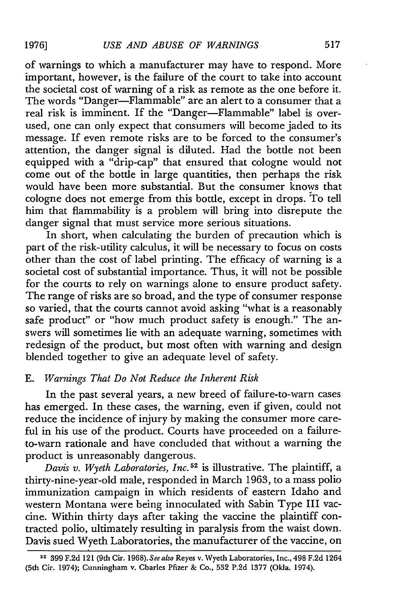of warnings to which a manufacturer may have to respond. More important, however, is the failure of the court to take into account the societal cost of warning of a risk as remote as the one before it. The words "Danger-Flammable" are an alert to a consumer that a real risk is imminent. If the "Danger-Flammable" label is overused, one can only expect that consumers will become jaded to its message. If even remote risks are to be forced to the consumer's attention, the danger signal is diluted. Had the bottle not been equipped with a "drip-cap" that ensured that cologne would not come out of the bottle in large quantities, then perhaps the risk would have been more substantial. But the consumer knows that cologne does not emerge from this bottle, except in drops. To tell him that flammability is a problem will bring into disrepute the danger signal that must service more serious situations.

In short, when calculating the burden of precaution which is part of the risk-utility calculus, it will be necessary to focus on costs other than the cost of label printing. The efficacy of warning is a societal cost of substantial importance. Thus, it will not be possible for the courts to rely on warnings alone to ensure product safety. The range of risks are so broad, and the type of consumer response so varied, that the courts cannot avoid asking "what is a reasonably safe product" or "how much product safety is enough." The answers will sometimes lie with an adequate warning, sometimes with redesign of the product, but most often with warning and design blended together to give an adequate level of safety.

#### *E. Warnings That Do Not Reduce the Inherent Risk*

In the past several years, a new breed of failure-to-warn cases has emerged. In these cases, the warning, even if given, could not reduce the incidence of injury by making the consumer more careful in his use of the product. Courts have proceeded on a failureto-warn rationale and have concluded that without a warning the product is unreasonably dangerous.

*Davis v. Wyeth Laboratories, Inc.* **52** is illustrative. The plaintiff, a thirty-nine-year-old male, responded in March 1963, to a mass polio immunization campaign in which residents of eastern Idaho and western Montana were being innoculated with Sabin Type III vaccine. Within thirty days after taking the vaccine the plaintiff contracted polio, ultimately resulting in paralysis from the waist down. Davis sued Wyeth Laboratories, the manufacturer of the vaccine, on

**<sup>52</sup>**399 F.2d 121 (9th Cir. *1968).See also* Reyes v. Wyeth Laboratories, Inc., 498 F.2d 1264 (5th Cir. 1974); Cunningham v. Charles Pfizer & Co., 532 P.2d 1377 (Okla. 1974).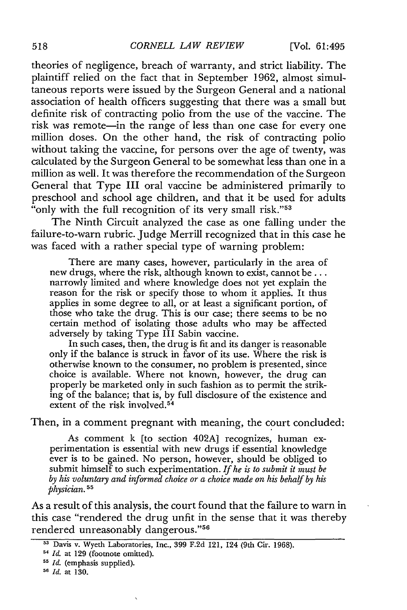theories of negligence, breach of warranty, and strict liability. The plaintiff relied on the fact that in September 1962, almost simultaneous reports were issued by the Surgeon General and a national association of health officers suggesting that there was a small but definite risk of contracting polio from the use of the vaccine. The risk was remote—in the range of less than one case for every one million doses. On the other hand, the risk of contracting polio without taking the vaccine, for persons over the age of twenty, was calculated by the Surgeon General to be somewhat less than one in a million as well. It was therefore the recommendation of the Surgeon General that Type III oral vaccine be administered primarily to preschool and school age children, and that it be used for adults "only with the full recognition of its very small risk."<sup>53</sup>

The Ninth Circuit analyzed the case as one falling under the failure-to-warn rubric. Judge Merrill recognized that in this case he was faced with a rather special type of warning problem:

There are many cases, however, particularly in the area of new drugs, where the risk, although known to exist, cannot be ... narrowly limited and where knowledge does not yet explain the reason for the risk or specify those to whom it applies. It thus applies in some degree to all, or at least a significant portion, of those who take the drug. This is our case; there seems to be no certain method of isolating those adults who may be affected adversely by taking Type III Sabin vaccine.

In such cases, then, the drug is fit and its danger is reasonable only if the balance is struck in favor of its use. Where the risk is otherwise known to the consumer, no problem is presented, since choice is available. Where not known, however, the drug can properly be marketed only in such fashion as to permit the striking of the balance; that is, by full disclosure of the existence and extent of the risk involved.<sup>54</sup>

Then, in a comment pregnant with meaning, the court concluded:

As comment k [to section 402A] recognizes, human experimentation is essential with new drugs if essential knowledge ever is to be gained. No person, however, should be obliged to submit himself to such experimentation. *If he is to submit it must be by his voluntary and informed choice or a choice made on his behalf by his physician. <sup>55</sup>*

As a result of this analysis, the court found that the failure to warn in this case "rendered the drug unfit in the sense that it was thereby rendered unreasonably dangerous."56

Davis v. Wyeth Laboratories, Inc., **399 F.2d** 121, 124 (9th Cir. **1968).**

**<sup>54</sup>***Id.* at **129** (footnote omitted).

<sup>&</sup>lt;sup>55</sup> Id. (emphasis supplied).

*<sup>56</sup> Id.* at **130.**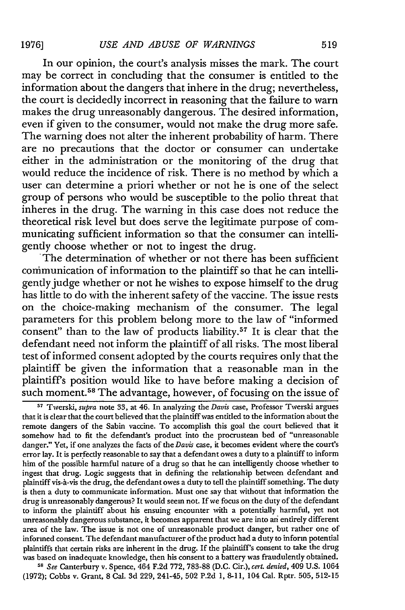In our opinion, the court's analysis misses the mark. The court may be correct in concluding that the consumer is entitled to the information about the dangers that inhere in the drug; nevertheless, the court is decidedly incorrect in reasoning that the failure to warn makes the drug unreasonably dangerous. The desired information, even if given to the consumer, would not make the drug more safe. The warning does not alter the inherent probability of harm. There are no precautions that the doctor or consumer can undertake either in the administration or the monitoring of the drug that would reduce the incidence of risk. There is no method by which a user can determine a priori whether or not he is one of the select group of persons who would be susceptible to the polio threat that inheres in the drug. The warning in this case does not reduce the theoretical risk level but does serve the legitimate purpose of communicating sufficient information so that the consumer can intelligently choose whether or not to ingest the drug.

The determination of whether or not there has been sufficient communication of information to the plaintiff so that he can intelligently judge whether or not he wishes to expose himself to the drug has little to do with the inherent safety of the vaccine. The issue rests on the choice-making mechanism of the consumer. The legal parameters for this problem belong more to the law of "informed consent" than to the law of products liability.<sup>57</sup> It is clear that the defendant need not inform the plaintiff of all risks. The most liberal test of informed consent adopted by the courts requires only that the plaintiff be given the information that a reasonable man in the plaintiffs position would like to have before making a decision of such moment.<sup>58</sup> The advantage, however, of focusing on the issue of

**<sup>57</sup>**Twerski, *supra* note 33, at 46. In analyzing the *Davis* case, Professor Twerski argues that it is clear that the court believed that the plaintiff was entitled to the information about the remote dangers of the Sabin vaccine. To accomplish this goal the court believed that it somehow had to fit the defendant's product into the procrustean bed of "unreasonable danger." Yet, if one analyzes the facts of the *Davis* case, it becomes evident where the court's error lay. It is perfectly reasonable to say that a defendant owes a duty to a plaintiff to inform him of the possible harmful nature of a drug so that he can intelligently choose whether to ingest that drug. Logic suggests that in defining the relationship between defendant and plaintiff vis-a-vis the drug, the defendant owes a duty to tell the plaintiff something. The duty is then a duty to communicate information. Must one say that without that information the drug is unreasonably dangerous? It would seem not. If we focus on the duty of the defendant to inform the plaintiff about his ensuing encounter with a potentially harmful, yet not unreasonably dangerous substance, it becomes apparent that we are into an entirely different area of the law. The issue is not one of unreasonable product danger, but rather one of informed consent. The defendant manufacturer of the product had a duty to inform potential plaintiffs that certain risks are inherent in the drug. If the plaintiff's consent to take the drug was based on inadequate knowledge, then his consent to a battery was fraudulently obtained.

**"s** *See* Canterbury v. Spence, 464 F.2d 772, 783-88 (D.C. Cir.), *cert. denied,* 409 U.S. 1064 (1972); Cobbs v. Grant, 8 Cal. 3d 229, 241-45, 502 P.2d 1, 8-11, 104 Cal. Rptr. 505, 512-15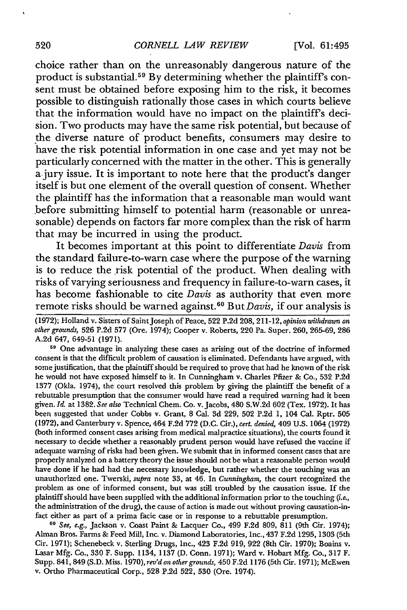choice rather than on the unreasonably dangerous nature of the product is substantial. 59 By determining whether the plaintiffs consent must be obtained before exposing him to the risk, it becomes possible to distinguish rationally those cases in which courts believe that the information would have no impact on the plaintiff's decision. Two products may have the same risk potential, but because of the diverse nature of product benefits, consumers may desire to have the risk potential information in one case and yet may not be particularly concerned with the matter in the other. This is generally a jury issue. It is important to note here that the product's danger itself is but one element of the overall question of consent. Whether the plaintiff has the information that a reasonable man would want before submitting himself to potential harm (reasonable or unreasonable) depends on factors far more complex than the risk of harm that may be incurred in using the product.

It becomes important at this point to differentiate *Davis* from the standard failure-to-warn case where the purpose of the warning is to reduce the risk potential of the product. When dealing with risks of varying seriousness and frequency in failure-to-warn cases, it has become fashionable to cite *Davis* as authority that even more remote risks should be warned against. <sup>60</sup>*ButDavis,* if our analysis is

(1972); Holland v. Sisters of Saint Joseph of Peace, 522 P.2d 208, 211-12, *opinion withdrawn on other grounds,* 526 P.2d 577 (Ore. 1974); Cooper v. Roberts, 220 Pa. Super. 260, 265-69, 286 A.2d 647, 649-51 (1971).

**59** One advantage in analyzing these cases as arising out of the doctrine of informed consent is that the difficult problem of causation is eliminated. Defendants have argued, with some justification, that the plaintiff should be required to prove that had he known of the risk he would not have exposed himself to it. In Cunningham v. Charles Pfizer & Co., 532 P.2d 1377 (Okla. 1974), the court resolved this problem by giving the plaintiff the benefit of a rebuttable presumption that the consumer would have read a required warning had it been given. *Id.* at **1382.** *See also* Technical Chem. Co. v. Jacobs, 480 S.W.2d **602** (Tex. 1972). It has been suggested that under Cobbs v. Grant, 8 Cal. 3d 229, 502 P.2d 1, 104 Cal. Rptr. **505** (1972), and Canterbury v. Spence, 464 F.2d 772 (D.C. Cir.), *cert. denied,* 409 U.S. 1064 (1972) (both informed consent cases arising from medical malpractice situations), the courts found it necessary to decide whether a reasonably prudent person would have refused the vaccine if adequate warning of risks had been given. We submit that in informed consent cases that are properly analyzed on a battery theory the issue should not be what a reasonable person would have done if he had had the necessary knowledge, but rather whether the touching was an unauthorized one. Twerski, *supra* note 33, at 46. In *Cunningham,* the court recognized the problem as one of informed consent, but was still troubled by the causation issue. **If** the plaintiff should have been supplied with the additional information prior to the touching *(i.e.,* the administration of the drug), the cause of action is made out without proving causation-infact either as part of a prima facie case or in response to a rebuttable presumption.

*<sup>60</sup>See, e.g.,* Jackson v. Coast Paint & Lacquer Co., 499 F.2d 809, 811 (9th Cir. 1974); Alman Bros. Farms & Feed Mill, Inc. v. Diamond Laboratories, Inc., 437 F.2d 1295, 1303 (5th Cir. 1971); Schenebeck v. Sterling Drugs, Inc., 423 F.2d 919, 922 (8th Cir. 1970); Boains v. Lasar Mfg. Co., 330 F. Supp. 1134, 1137 (D. Conn. 1971); Ward v. Hobart Mfg. Co., 317 F. Supp. 841, 849 (S.D. Miss. 1970), *rev'd on other grounds,* 450 F.2d 1176 (5th Cir. 1971); McEwen v. Ortho Pharmaceutical Corp., **528** P.2d 522, **530** (Ore. 1974).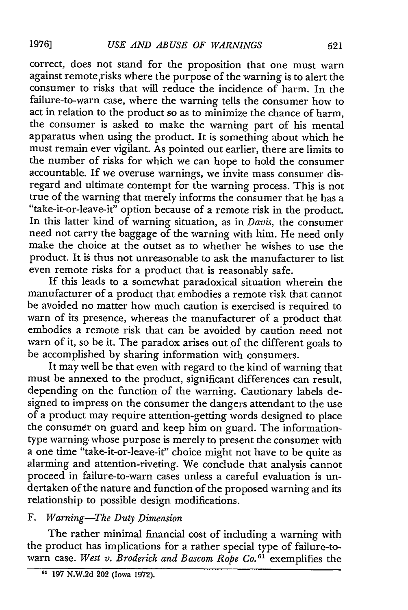correct, does not stand for the proposition that one must warn against remote,risks where the purpose of the warning is to alert the consumer to risks that will reduce the incidence of harm. In the failure-to-warn case, where the warning tells the consumer how to act in relation to the product so as to minimize the chance of harm, the consumer is asked to make the warning part of his mental apparatus when using the product. It is something about which he must remain ever vigilant. As pointed out earlier, there are limits to the number of risks for which we can hope to hold the consumer accountable. If we overuse warnings, we invite mass consumer disregard and ultimate contempt for the warning process. This is not true of the warning that merely informs the consumer that he has a "take-it-or-leave-it" option because of a remote risk in the product. In this latter kind of warning situation, as in *Davis,* the consumer need not carry the baggage of the warning with him. He need only make the choice at the outset as to whether he wishes to use the product. It is thus not unreasonable to ask the manufacturer to list even remote risks for a product that is reasonably safe.

If this leads to a somewhat paradoxical situation wherein the manufacturer of a product that embodies a remote risk that cannot be avoided no matter how much caution is exercised is required to warn of its presence, whereas the manufacturer of a product that embodies a remote risk that can be avoided by caution need not warn of it, so be it. The paradox arises out of the different goals to be accomplished by sharing information with consumers.

It may well be that even with regard to the kind of warning that must be annexed to the product, significant differences can result, depending on the function of the warning. Cautionary labels designed to impress on the consumer the dangers attendant to the use of a product may require attention-getting words designed to place the consumer on guard and keep him on guard. The informationtype warning whose purpose is merely to present the consumer with a one time "take-it-or-leave-it" choice might not have to be quite as alarming and attention-riveting. We conclude that analysis cannot proceed in failure-to-warn cases unless a careful evaluation is undertaken of the nature and function of the proposed warning and its relationship to possible design modifications.

## *F. Warning-The Duty Dimension*

The rather minimal financial cost of including a warning with the product has implications for a rather special type of failure-towarn case. West v. Broderick and Bascom Rope Co.<sup>61</sup> exemplifies the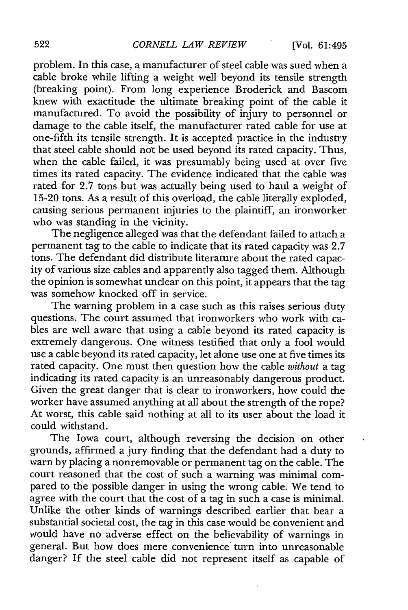problem. In this case, a manufacturer of steel cable was sued when a cable broke while lifting a weight well beyond its tensile strength (breaking point). From long experience Broderick and Bascom knew with exactitude the ultimate breaking point of the cable it manufactured. To avoid the possibility of injury to personnel or damage to the cable itself, the manufacturer rated cable for use at one-fifth its tensile strength. It is accepted practice in the industry that steel cable should not be used beyond its rated capacity. Thus, when the cable failed, it was presumably being used at over five times its rated capacity. The evidence indicated that the cable was rated for 2.7 tons but was actually being used to haul a weight of 15-20 tons. As a result of this overload, the cable literally exploded, causing serious permanent injuries to the plaintiff, an ironworker who was standing in the vicinity.

The negligence alleged was that the defendant failed to attach a permanent tag to the cable to indicate that its rated capacity was 2.7 tons. The defendant did distribute literature about the rated capacity of various size cables and apparently also tagged them. Although the opinion is somewhat unclear on this point, it appears that the tag was somehow knocked off in service.

The warning problem in a case such as this raises serious duty questions. The court assumed that ironworkers who work with cables are well aware that using a cable beyond its rated capacity is extremely dangerous. One witness testified that only a fool would use a cable beyond its rated capacity, let alone use one at five times its rated capacity. One must then question how the cable *without* a tag indicating its rated capacity is an unreasonably dangerous product. Given the great danger that is clear to ironworkers, how could the worker have assumed anything at all about the strength of the rope? At worst, this cable said nothing at all to its user about the load it could withstand.

The Iowa court, although reversing the decision on other grounds, affirmed a jury finding that the defendant had a duty to warn by placing a nonremovable or permanent tag on the cable. The court reasoned that the cost of such a warning was minimal compared to the possible danger in using the wrong cable. We tend to agree with the court that the cost of a tag in such a case is minimal. Unlike the other kinds of warnings described earlier that bear a substantial societal cost, the tag in this case would be convenient and would have no adverse effect on the believability of warnings in general. But how does mere convenience turn into unreasonable danger? If the steel cable did not represent itself as capable of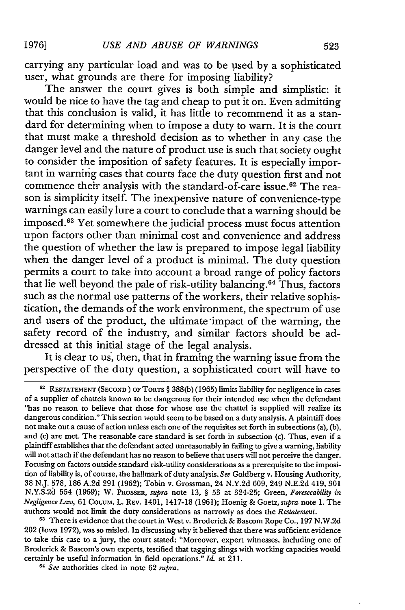carrying any particular load and was to be used by a sophisticated user, what grounds are there for imposing liability?

The answer the court gives is both simple and simplistic: it would be nice to have the tag and cheap to put it on. Even admitting that this conclusion is valid, it has little to recommend it as a standard for determining when to impose a duty to warn. It is the court that must make a threshold decision as to whether in any case the danger level and the nature of product use is such that society ought to consider the imposition of safety features. It is especially important in warning cases that courts face the duty question first and not commence their analysis with the standard-of-care issue.62 The reason is simplicity itself. The inexpensive nature of convenience-type warnings can easily lure a court to conclude that a warning should be imposed.<sup>63</sup> Yet somewhere the judicial process must focus attention upon factors other than minimal cost and convenience and address the question of whether the law is prepared to impose legal liability when the danger level of a product is minimal. The duty question permits a court to take into account a broad range of policy factors that lie well beyond the pale of risk-utility balancing.<sup>64</sup> Thus, factors such as the normal use patterns of the workers, their relative sophistication, the demands of the work environment, the spectrum of use and users of the product, the ultimate impact of the warning, the safety record of the industry, and similar factors should be addressed at this initial stage of the legal analysis.

It is clear to us, then, that in framing the warning issue from the perspective of the duty question, a sophisticated court will have to

**<sup>63</sup>**There is evidence that the court in West v. Broderick & Bascom Rope Co., 197 N.W.2d 202 (Iowa 1972), was so misled. In discussing why it believed that there was sufficient evidence to take this case to a jury, the court stated: "Moreover, expert witnesses, including one of Broderick & Bascom's own experts, testified that tagging slings with working capacities would certainly be useful information in field operations." *Id.* at 211.

**<sup>62</sup> RESTATEMENT (SECOND) oF TORTS** § 388(b) (1965) limits liability for negligence in cases of a supplier of chattels known to be dangerous for their intended use when the defendant "has no reason to believe that those for whose use the chattel is supplied will realize its dangerous condition." This section would seem to be based on a duty analysis. **A** plaintiff does not make out a cause of action unless each one of the requisites set forth in subsections (a), (b), and (c) are met. The reasonable care standard is set forth in subsection (c). Thus, even if a plaintiff establishes that the defendant acted unreasonably in failing to give a warning, liability will not attach if the defendant has no reason to believe that users will not perceive the danger. Focusing on factors outside standard risk-utility considerations as a prerequisite to the imposition of liability is, of course, the hallmark of duty analysis. *See* Goldberg v. Housing Authority, 38 N.J. 578, 186 A.2d 291 (1962); Tobin v. Grossman, 24 N.Y.2d 609, 249 N.E.2d 419, 301 N.Y.S.2d 554 (1969); W. PROSSER, *supra* note 13, § **53** at 324-25; Green, *Foreseeabiliy in Negligence Law,* 61 **COLUM.** L. REv. 1401, 1417-18 (1961); Hoenig & *Goetz, supra* note **1.** The authors would not limit the duty considerations as narrowly as does the *Restatement.*

**<sup>64</sup>** *See* authorities cited in note 62 *supra.*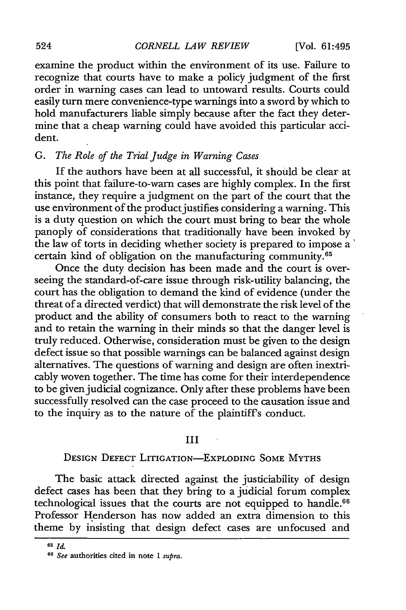examine the product within the environment of its use. Failure to recognize that courts have to make a policy judgment of the first order in warning cases can lead to untoward results. Courts could easily turn mere convenience-type warnings into a sword by which to hold manufacturers liable simply because after the fact they determine that a cheap warning could have avoided this particular accident.

#### *G. The Role of the Trial Judge in Warning Cases*

If the authors have been at all successful, it should be clear at this point that failure-to-warn cases are highly complex. In the first instance, they require a judgment on the part of the court that the use environment of the product justifies considering a warning. This is a duty question on which the court must bring to bear the whole panoply of considerations that traditionally have been invoked by the law of torts in deciding whether society is prepared to impose a certain kind of obligation on the manufacturing community. <sup>65</sup>

Once the duty decision has been made and the court is overseeing the standard-of-care issue through risk-utility balancing, the court has the obligation to demand the kind of evidence (under the threat of a directed verdict) that will demonstrate the risk level of the product and the ability of consumers both to react to the warning and to retain the warning in their minds so that the danger level is truly reduced. Otherwise, consideration must be given to the design defect issue so that possible warnings can be balanced against design alternatives. The questions of warning and design are often inextricably woven together. The time has come for their interdependence to be given judicial cognizance. Only after these problems have been successfully resolved can the case proceed to the causation issue and to the inquiry as to the nature of the plaintiff's conduct.

#### III

#### DESIGN DEFECT LITIGATION-EXPLODING SOME MYTHS

The basic attack directed against the justiciability of design defect cases has been that they bring to a judicial forum complex technological issues that the courts are not equipped to handle. <sup>66</sup> Professor Henderson has now added an extra dimension to this theme by insisting that design defect cases are unfocused and

**<sup>65</sup>** *Id.*

*<sup>66</sup>See* **authorities cited in** note **1** *supra.*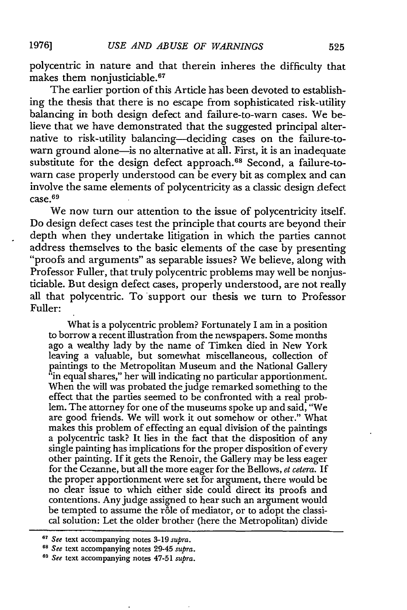polycentric in nature and that therein inheres the difficulty that makes them nonjusticiable.<sup>67</sup>

The earlier portion of this Article has been devoted to establishing the thesis that there is no escape from sophisticated risk-utility balancing in both design defect and failure-to-warn cases. We believe that we have demonstrated that the suggested principal alternative to risk-utility balancing--deciding cases on the failure-towarn ground alone—is no alternative at all. First, it is an inadequate substitute for the design defect approach.<sup>68</sup> Second, a failure-towarn case properly understood can be every bit as complex and can involve the same elements of polycentricity as a classic design defect case.<sup>69</sup>

We now turn our attention to the issue of polycentricity itself. Do design defect cases test the principle that courts are beyond their depth when they undertake litigation in which the parties cannot address themselves to the basic elements of the case by presenting "proofs and arguments" as separable issues? We believe, along with Professor Fuller, that truly polycentric problems may well be nonjusticiable. But design defect cases, properly understood, are not really all that polycentric. To support our thesis we turn to Professor Fuller:

What is a polycentric problem? Fortunately I am in a position to borrow a recent illustration from the newspapers. Some months ago a wealthy lady by the name of Timken died in New York leaving a valuable, but somewhat miscellaneous, collection of paintings to the Metropolitan Museum and the National Gallery "in equal shares," her will indicating no particular apportionment. When the will was probated the judge remarked something to the effect that the parties seemed to be confronted with a real problem. The attorney for one of the museums spoke up and said, "We are good friends. We will work it out somehow or other." What makes this problem of effecting an equal division of the paintings a polycentric task? It lies in the fact that the disposition of any single painting has implications for the proper disposition of every other painting. If it gets the Renoir, the Gallery may be less eager for the Cezanne, but all the more eager for the Bellows, et cetera. If the proper apportionment were set for argument, there would be no clear issue to which either side could direct its proofs and contentions. Any judge assigned to hear such an argument would be tempted to assume the rôle of mediator, or to adopt the classical solution: Let the older brother (here the Metropolitan) divide

**<sup>67</sup>***See* text accompanying notes **3-19** *supra.*

**<sup>68</sup>***See* text accompanying notes 29-45 *supra.*

*<sup>69</sup>See* text accompanying notes 47-51 *supra.*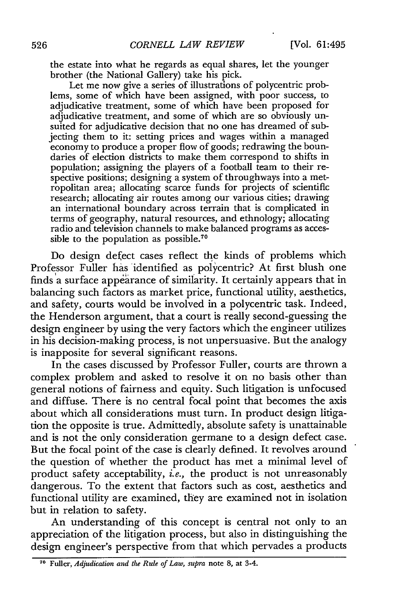the estate into what he regards as equal shares, let the younger brother (the National Gallery) take his pick.

Let me now give a series of illustrations of polycentric problems, some of which have been assigned, with poor success, to adjudicative treatment, some of which have been proposed for adjudicative treatment, and some of which are so obviously unsuited for adjudicative decision that no one has dreamed of subjecting them to it: setting prices and wages within a managed economy to produce a proper flow of goods; redrawing the boundaries of election districts to make them correspond to shifts in population; assigning the players of a football team to their respective positions; designing a system of throughways into a metropolitan area; allocating scarce funds for projects of scientific research; allocating air routes among our various cities; drawing an international boundary across terrain that is complicated in terms of geography, natural resources, and ethnology; allocating radio and television channels to make balanced programs as accessible to the population as possible.70

Do design defect cases reflect the kinds of problems which Professor Fuller has 'identified as polycentric? At first blush one finds 'a surface appearance of similarity. It certainly appears that in balancing such factors as market price, functional utility, aesthetics, and safety, courts would be involved in a polycentric task. Indeed, the Henderson argument, that a court is really second-guessing the design engineer by using the very factors which the engineer utilizes in his decision-making process, is not unpersuasive. But the analogy is inapposite for several significant reasons.

In the cases discussed by Professor Fuller, courts are thrown a complex problem and asked to resolve it on no basis other than general notions of fairness and equity. Such litigation is unfocused and diffuse. There is no central focal point that becomes the axis about which all considerations must turn. In product design litigation the opposite is true. Admittedly, absolute safety is unattainable and is not the only consideration germane to a design defect case. But the focal point of the case is clearly defined. It revolves around the question of whether the product has met a minimal level of product safety acceptability, *i.e.,* the product is not unreasonably dangerous. To the extent that factors such as cost, aesthetics and functional utility are examined, they are examined not in isolation but in relation to safety.

An understanding of this concept is central not only to an appreciation of the litigation process, but also in distinguishing the design engineer's perspective from that which pervades a products

**<sup>70</sup>**Fuller, *Adjudication and the Rule of Law, supra* note 8, at 3-4.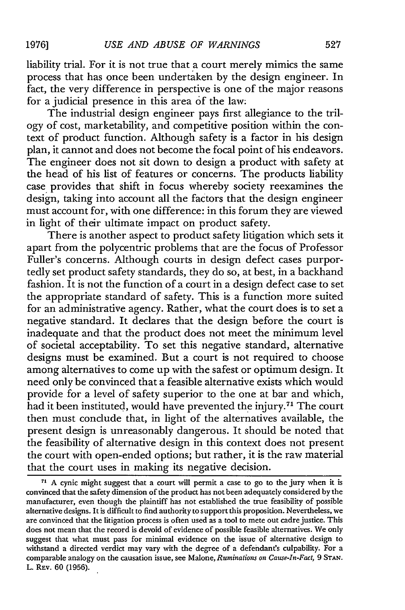liability trial. For it is not true that a court merely mimics the same process that has once been undertaken by the design engineer. In fact, the very difference in perspective is one of the major reasons for a judicial presence in this area of the law:

The industrial design engineer pays first allegiance to the trilogy of cost, marketability, and competitive position within the context of product function. Although safety is a factor in his design plan, it cannot and does not become the focal point of his endeavors. The engineer does not sit down to design a product with safety at the head of his list of features or concerns. The products liability case provides that shift in focus whereby society reexamines the design, taking into account all the factors that the design engineer must account for, with one difference: in this forum they are viewed in light of their ultimate impact on product safety.

There is another aspect to product safety litigation which sets it apart from the polycentric problems that are the focus of Professor Fuller's concerns. Although courts in design defect cases purportedly set product safety standards, they do so, at best, in a backhand fashion. It is not the function of a court in a design defect case to set the appropriate standard of safety. This is a function more suited for an administrative agency. Rather, what the court does is to set a negative standard. It declares that the design before the court is inadequate and that the product does not meet the minimum level of societal acceptability. To set this negative standard, alternative designs must be examined. But a court is not required to choose among alternatives to come up with the safest or optimum design. It need only be convinced that a feasible alternative exists which would provide for a level of safety superior to the one at bar and which, had it been instituted, would have prevented the injury.<sup>71</sup> The court then must conclude that, in light of the alternatives available, the present design is unreasonably dangerous. It should be noted that the feasibility of alternative design in this context does not present the court with open-ended options; but rather, it is the raw material that the court uses in making its negative decision.

**<sup>71</sup>**A cynic might suggest that a court will permit a case to go to the jury when it is convinced that the safety dimension of the product has not been adequately considered by the manufacturer, even though the plaintiff has not established the true feasibility of possible alternative designs. It is difficult to find authority to support this proposition. Nevertheless, we are convinced that the litigation process is often used as a tool to mete out cadre justice. This does not mean that the record is devoid of evidence of possible feasible alternatives. We only suggest that what must pass for minimal evidence on the issue of alternative design to withstand a directed verdict may vary with the degree of a defendant's culpability. For a comparable analogy on the causation issue, see Malone, *Ruminations on Cause-In-Fact,* **9 STAN.** L. REv. 60 (1956).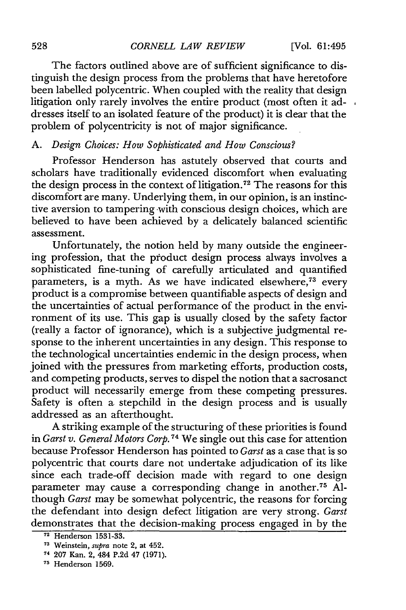The factors outlined above are of sufficient significance to distinguish the design process from the problems that have heretofore been labelled polycentric. When coupled with the reality that design litigation only rarely involves the entire product (most often it addresses itself to an isolated feature of the product) it is clear that the problem of polycentricity is not of major significance.

## *A. Design Choices: How Sophisticated and How Conscious?*

Professor Henderson has astutely observed that courts and scholars have traditionally evidenced discomfort when evaluating the design process in the context of litigation. 72 The reasons for this discomfort are many. Underlying them, in our opinion, is an instinctive aversion to tampering with conscious design choices, which are believed to have been achieved by a delicately balanced scientific assessment.

Unfortunately, the notion held by many outside the engineering profession, that the product design process always involves a sophisticated fine-tuning of carefully articulated and quantified parameters, is a myth. As we have indicated elsewhere, $73$  every product is a compromise between quantifiable aspects of design and the uncertainties of actual performance of the product in the environment of its use. This gap is usually closed by the safety factor (really a factor of ignorance), which is a subjective judgmental response to the inherent uncertainties in any design. This response to the technological uncertainties endemic in the design process, when joined with the pressures from marketing efforts, production costs, and competing products, serves to dispel the notion that a sacrosanct product will necessarily emerge from these competing pressures. Safety is often a stepchild in the design process and is usually addressed as an afterthought.

A striking example of the structuring of these priorities is found in *Garst v. General Motors Corp. 7 <sup>4</sup>*We single out this case for attention because Professor Henderson has pointed to *Garst* as a case that is so polycentric that courts dare not undertake adjudication of its like since each trade-off decision made with regard to one design parameter may cause a corresponding change in another.<sup>75</sup> Although *Garst* may be somewhat polycentric, the reasons for forcing the defendant into design defect litigation are very strong. *Garst* demonstrates that the decision-making process engaged in by the

**<sup>72</sup>**Henderson 1531-33.

<sup>7</sup> Weinstein, *supra* note 2, at 452. 74 207 Kan. 2, 484 P.2d 47 (1971).

**<sup>75</sup>**Henderson 1569.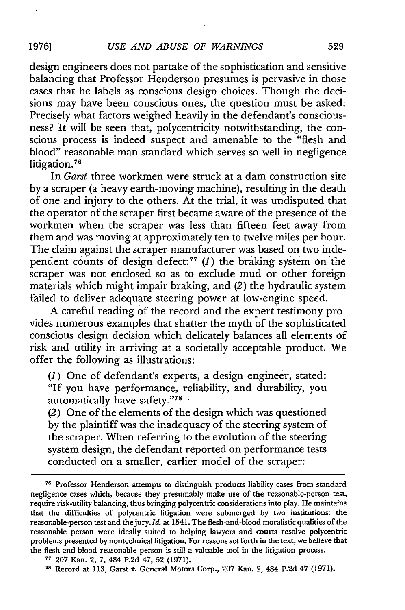design engineers does not partake of the sophistication and sensitive balancing that Professor Henderson presumes is pervasive in those cases that he labels as conscious design choices. Though the decisions may have been conscious ones, the question must be asked: Precisely what factors weighed heavily in the defendant's consciousness? It will be seen that, polycentricity notwithstanding, the conscious process is indeed suspect and amenable to the "flesh and blood" reasonable man standard which serves so well in negligence litigation.<sup>76</sup>

In *Garst* three workmen were struck at a dam construction site **by** a scraper (a heavy earth-moving machine), resulting in the death of one and injury to the others. At the trial, it was undisputed that the operator of the scraper first became aware of the presence of the workmen when the scraper was less than fifteen feet away from them and was moving at approximately ten to twelve miles per hour. The claim against the scraper manufacturer was based on two independent counts of design defect:<sup>77</sup> (1) the braking system on the scraper was not enclosed so as to exclude mud or other foreign materials which might impair braking, and *(2)* the hydraulic system failed to deliver adequate steering power at low-engine speed.

**A** careful reading of the record and the expert testimony provides numerous examples that shatter the myth of the sophisticated conscious design decision which delicately balances all elements of risk and utility in arriving at a societally acceptable product. We offer the following as illustrations:

*(1)* One of defendant's experts, a design engineer, stated: "If you have performance, reliability, and durability, you automatically have safety."78

*(2)* One of the elements of the design which was questioned by the plaintiff was the inadequacy of the steering system of the scraper. When referring to the evolution of the steering system design, the defendant reported on performance tests conducted on a smaller, earlier model of the scraper:

**19761**

<sup>&</sup>lt;sup>76</sup> Professor Henderson attempts to distinguish products liability cases from standard negligence cases which, because they presumably make use of the reasonable-person test, require risk-utility balancing, thus bringing polycentric considerations into play. He maintains that the difficulties of polycentric litigation were submerged **by** two institutions: the reasonable-person test and thejury. *Id.* at 1541. The flesh-and-blood moralistic qualities of the reasonable person were ideally suited to helping lawyers and courts resolve polycentric problems presented by nontechnical litigation. For reasons set forth in the text, we believe that the flesh-and-blood reasonable person is still a valuable tool in the litigation process.

**<sup>77</sup>**207 Kan. 2, 7, 484 P.2d 47, **52** (1971).

**<sup>7&#</sup>x27;** Record at 113, Garst \*.'General Motors Corp., **207** Kan. 2, 484 P.2d 47 **(1971).**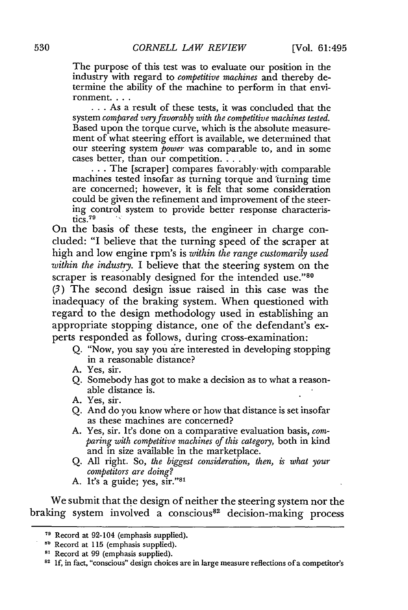The purpose of this test was to evaluate our position in the industry with regard to *competitive machines* and thereby determine the ability of the machine to perform in that environment....

**...** As a result of these tests, it was concluded that the system *compared very favorably with the competitive machines tested.* Based upon the torque curve, which is the absolute measurement of what steering effort is available, we determined that our steering system *power* was comparable to, and in some cases better, than our competition....

**. ..** The [scraper] compares favorably with comparable machines tested insofar as turning torque and 'turning time are concerned; however, it is felt that some consideration could be given the refinement and improvement of the steering control system to provide better response characteris $tics.<sup>79</sup>$ 

On the basis of these tests, the engineer in charge concluded: "I believe that the turning speed of the scraper at high and low engine rpm's is *within the range customarily used within the industry.* I believe that the steering system on the scraper is reasonably designed for the intended use."80

*(3)* The second design issue raised in this case was the inadequacy of the braking system. When questioned with regard to the design methodology used in establishing an appropriate stopping distance, one of the defendant's experts responded as follows, during cross-examination:

- Q. "Now, you say you are interested in developing stopping in a reasonable distance?
- A. Yes, sir.
- Q. Somebody has got to make a decision as to what a reasonable distance is.
- A. Yes, sir.
- Q. And do you know where or how that distance is set insofar as these machines are concerned?
- A. Yes, sir. It's done on a comparative evaluation basis, *comparing with competitive machines of this category,* both in kind and in size available in the marketplace.
- Q. All right. So, *the biggest consideration, then, is what your competitors are doing?*
- A. It's a guide; yes,  $\sin$ ."81

We submit that the design of neither the steering system nor the braking system involved a conscious<sup>82</sup> decision-making process

**<sup>79</sup>**Record at 92-104 (emphasis supplied).

**<sup>81</sup>**Record at **115** (emphasis supplied). **I"** Record at **99** (emphasis supplied).

**<sup>82</sup>**If, in fact, "conscious" design choices are in large measure reflections of a competitor's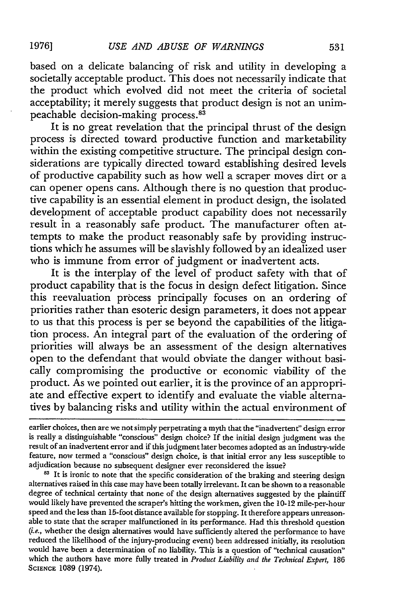based on a delicate balancing of risk and utility in developing a societally acceptable product. This does not necessarily indicate that the product which evolved did not meet the criteria of societal acceptability; it merely suggests that product design is not an unimpeachable decision-making process.<sup>83</sup>

It is no great revelation that the principal thrust of the design process is directed toward productive function and marketability within the existing competitive structure. The principal design considerations are typically directed toward establishing desired levels of productive capability such as how well a scraper moves dirt or a can opener opens cans. Although there is no question that productive capability is an essential element in product design, the isolated development of acceptable product capability does not necessarily result in a reasonably safe product. The manufacturer often attempts to make the product reasonably safe by providing instructions which he assumes will be slavishly followed by an idealized user who is immune from error of judgment or inadvertent acts.

It is the interplay of the level of product safety with that of product capability that is the focus in design defect litigation. Since this reevaluation process principally focuses on an ordering of priorities rather than esoteric design parameters, it does not appear to us that this process is per se beyond the capabilities of the litigation process. An integral part of the evaluation of the ordering of priorities will always be an assessment of the design alternatives open to the defendant that would obviate the danger without basically compromising the productive or economic viability of the product. As we pointed out earlier, it is the province of an appropriate and effective expert to identify and evaluate the viable alternatives by balancing risks and utility within the actual environment of

<sup>83</sup> It is ironic to note that the specific consideration of the braking and steering design alternatives raised in this case may have been totally irrelevant. It can be shown to a reasonable degree of technical certainty that none of the design alternatives suggested by the plaintiff would likely have prevented the scraper's hitting the workmen, given the 10-12 mile-per-hour speed and the less than 15-foot distance available for stopping. It therefore appears unreason- able to state that the scraper malfunctioned in its performance. Had this threshold question *(i.e.,* whether the design alternatives would have sufficiently altered the performance to have reduced the likelihood of the injury-producing event) been addressed initially, its resolution would have been a determination of no liability. This is a question of "technical causation" which the authors have more fully treated in *Product Liability and the Technical Expert,* **186 SCIENCE** 1089 (1974).

earlier choices, then are we not simply perpetrating a myth that the "inadvertent" design error is really a distinguishable "conscious" design choice? If the initial design judgment was the result of an inadvertent error and if this judgment later becomes adopted as an industry-wide feature, now termed a "conscious" design choice, is that initial error any less susceptible to adjudication because no subsequent designer ever reconsidered the issue?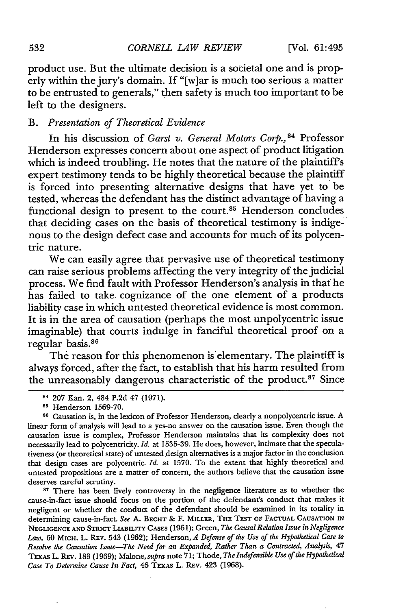product use. But the ultimate decision is a societal one and is properly within the jury's domain. If "[w]ar is much too serious a matter to be entrusted to generals," then safety is much too important to be left to the designers.

#### *B. Presentation of Theoretical Evidence*

In his discussion of *Garst v. General Motors Corp.,84* Professor Henderson expresses concern about one aspect of product litigation which is indeed troubling. He notes that the nature of the plaintiffs expert testimony tends to be highly theoretical because the plaintiff is forced into presenting alternative designs that have yet to be tested, whereas the defendant has the distinct advantage of having a functional design to present to the court.<sup>85</sup> Henderson concludes that deciding cases on the basis of theoretical testimony is indigenous to the design defect case and accounts for much of its polycentric nature.

We can easily agree that pervasive use of theoretical testimony can raise serious problems affecting the very integrity of the judicial process. We find fault with Professor Henderson's analysis in that he has failed to take. cognizance of the one element of a products liability case in which untested theoretical evidence is most common. It is in the area of causation (perhaps the most unpolycentric issue imaginable) that courts indulge in fanciful theoretical proof on a regular basis.<sup>86</sup>

The reason for this phenomenon is elementary. The plaintiff is always forced, after the fact, to establish that his harm resulted from the unreasonably dangerous characteristic of the product.<sup>87</sup> Since

**<sup>87</sup>**There has been lively controversy in the negligence literature as to whether the cause-in-fact issue should focus on the portion of the defendant's conduct that makes it negligent or whether the conduct of the defendant should be examined in its totality in determining cause-in-fact. *See* **A. BECHT &** F. **MILLER, THE TEST OF FACTUAL CAUSATION IN NEGLIGENCE AND** STRICT **LIABILITY CASES** (1961); Green, *The CausalRelation Issue in Negligence Law,* **60 MICH.** L. **REV.** 543 (1962); Henderson, *A Defense of the Use of the Hypothetical Case to Resolve the Causation Issue-The Need for an Expanded, Rather Than a Contracted, Analysis,* 47 **TEXAS** L. REv. 183 (1969); Malone, supra note **71;** Thode, *TheIndefensible Use of the Hypothetical Case To Determine Cause In Fact,* 46 TEXAS L. **REv.** 423 (1968).

<sup>84</sup> **207** Kan. 2, 484 **P.2d** 47 **(1971).**

**<sup>85</sup>**Henderson **1569-70.**

**<sup>86</sup>**Causation is, in the lexicon of Professor Henderson, clearly a nonpolycentric issue. **A** linear form of analysis will lead to a yes-no answer on the causation issue. Even though the causation issue is complex, Professor Henderson maintains that its complexity does not necessarily lead to polycentricity. *Id.* at **1535-39.** He does, however, intimate that the speculativeness (or theoretical state) of untested design alternatives is a major factor in the conclusion that design cases **are** polycentric. *Id.* at **1570.** To the extent that **highly** theoretical and untested propositions are a matter of concern, the authors believe that the causation issue deserves careful scrutiny.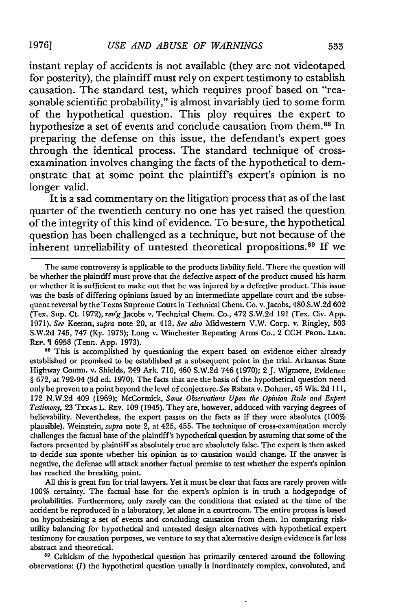instant replay of accidents is not available (they are not videotaped for posterity), the plaintiff must rely on expert testimony to establish causation. The standard test, which requires proof based on "reasonable scientific probability," is almost invariably tied to some form of the hypothetical question. This ploy requires the expert to hypothesize a set of events and conclude causation from them.<sup>88</sup> In preparing the defense on this issue, the defendant's expert goes through the identical process. The standard technique of crossexamination involves changing the facts of the hypothetical to demonstrate that at some point the plaintiff's expert's opinion is no longer valid.

It is a sad commentary on the litigation process that as of the last quarter of the twentieth century no one has yet raised the question of the integrity of this kind of evidence. To be sure, the hypothetical question has been challenged as a technique, but not because of the inherent unreliability of untested theoretical propositions.<sup>89</sup> If we

The same controversy is applicable to the products liability field. There the question will be whether the plaintiff must prove that the defective aspect of the product caused his harm or whether it is sufficient to make out that he was injured by a defective product. This issue was the basis of differing opinions issued by an intermediate appellate court and the subsequent reversal by the Texas Supreme Court in Technical Chem. Co. v.Jacobs, 480 S.W.2d 602 (Tex. Sup. Ct. 1972), *rev'g* Jacobs v. Technical Chem. Co., 472 S.W.2d 191 (Tex. Civ. App. 1971). *See* Keeton, *supra* note 20, at 413. *See also* Midwestern V.W. Corp. v. Ringley, **503 S.W.2d** 745, **747 (Ky.** 1973); Long v. Winchester Repeating Arms Co., 2 **CCH** PROD. **LIAB.** REP. 6958 (Tenn. App. 1973).

**<sup>88</sup>**This is accomplished by questioning the expert based on evidence either already established or promised to be established at a subsequent point in the trial. Arkansas State Highway Comm. v. Shields, 249 Ark. 710, 460 S.W.2d 746 (1970); 2 J. Wigmore, Evidence § 672, at 792-94 (3d ed. 1970). The facts that are the basis of the hypothetical question need only be proven to a point beyond the level of conjecture. See Rabata v. Dohner, 45 Wis. 2d 111, 172 N.W.2d 409 (1969); McCormick, *Some Observations Upon the Opinion Rule and Expert Testimony,* 23 TEXAs L. REv. 109 (1945). They are, however, adduced with varying degrees of believability. Nevertheless, the expert passes on the facts as if they were absolutes (100% plausible). Weinstein, *supra* note 2, at 425, 455. The technique of cross-examination merely challenges the factual base of the plaintiff's hypothetical question by assuming that some of the factors presented by plaintiff as absolutely true are absolutely false. The expert is then asked to decide sua sponte whether his opinion as to causation would change. If the answer is negative, the defense will attack another factual premise to test whether the expert's opinion has reached the breaking point.

All this is great fun for trial lawyers. Yet it must be clear that facts are rarely proven with 100% certainty. The factual base for the expert's opinion is in truth a hodgepodge of probabilities. Furthermore, only rarely can the conditions that existed at the time of the accident be reproduced in a laboratory, let alone in a courtroom. The entire process is based on hypothesizing a set of events and concluding causation from them. In comparing riskutility balancing for hypothetical and untested design alternatives with hypothetical expert testimony for causation purposes, we venture to say that alternative design evidence is far less abstract and theoretical.

**<sup>89</sup>**Criticism of the hypothetical question has primarily centered around the following observations: *(1)* the hypothetical question usually is inordinately complex, convoluted, and

533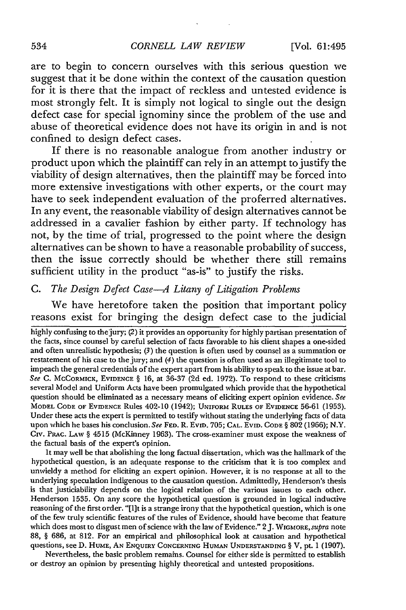are to begin to concern ourselves with this serious question we suggest that it be done within the context of the causation question for it is there that the impact of reckless and untested evidence is most strongly felt. It is simply not logical to single out the design defect case for special ignominy since the problem of the use and abuse of theoretical evidence does not have its origin in and is not confined to design defect cases.

If there is no reasonable analogue from another industry or product upon which the plaintiff can rely in an attempt to justify the viability of design alternatives, then the plaintiff may be forced into more extensive investigations with other experts, or the court may have to seek independent evaluation of the proferred alternatives. In any event, the reasonable viability of design alternatives cannot be addressed in a cavalier fashion **by** either party. If technology has not, **by** the time of trial, progressed to the point where the design alternatives can be shown to have a reasonable probability of success, then the issue correctly should be whether there still remains sufficient utility in the product "as-is" to justify the risks.

### *C. The Design Defect Case-A Litany of Litigation Problems*

We have heretofore taken the position that important policy reasons exist for bringing the design defect case to the judicial

It may well be that abolishing the long factual dissertation, which was the hallmark of the hypothetical question, is an adequate response to the criticism that it is too complex and unwieldy a method for eliciting an expert opinion. However, it is no response at all to the underlying speculation indigenous to the causation question. Admittedly, Henderson's thesis is that justiciability depends on the logical relation of the various issues to each other. Henderson **1535.** On any score the hypothetical question is grounded in logical inductive reasoning of the first order. "[Ilt is a strange irony that the hypothetical question, which is one of the few truly scientific features of the rules of Evidence, should have become that feature which does most to disgust men of science with the law of Evidence." 2 **J.** WIGMORE, *Supra* note **88,** § **686,** at **812.** For an empirical and philosophical look at causation and hypothetical questions, see **D. HUME, AN ENQUIRY CONCERNING HUMAN UNDERSTANDING** § V, pt. 1 **(1907).**

Nevertheless, the basic problem remains. Counsel for either side is permitted to establish or destroy an opinion **by** presenting **highly** theoretical and untested propositions.

highly confusing to thejury; (2) it provides an opportunity for highly partisan presentation of the facts, since counsel by careful selection of facts favorable to his client shapes a one-sided and often unrealistic hypothesis;  $(3)$  the question is often used by counsel as a summation or restatement of his case to the jury; and (4) the question is often used as an illegitimate tool to impeach the general credentials of the expert apart from his ability to speak to the issue at bar. See C. McCormick, EVIDENCE § 16, at 36-37 (2d ed. 1972). To respond to these criticisms several Model and Uniform Acts have been promulgated which provide that the hypothetical question should be eliminated as a necessary means of eliciting expert opinion evidence. See **MODEL CODE OF EVIDENCE** Rules 402-10 (1942); **UNIFORM RULES OF EVIDENCE 56-61 (1953).** Under these acts the expert is permitted to testify without stating the underlying facts of data upon which he bases his conclusion. See **FED.** R. **EVID. 705; CAL. EVID. CODE** § **802 (1966);** N.Y. Civ. **PRAC. LAW** § 4515 (McKinney **1963).** The cross-examiner must expose the weakness of the factual basis of the expert's opinion.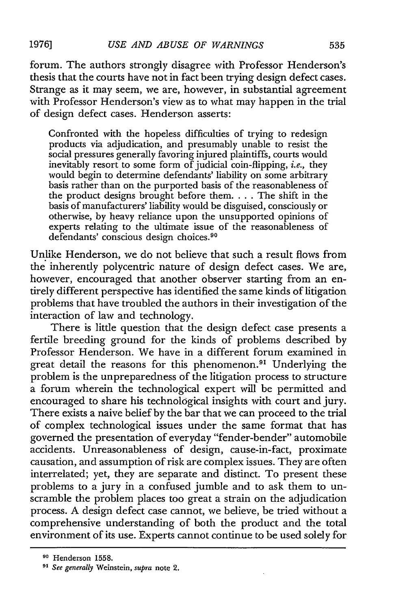forum. The authors strongly disagree with Professor Henderson's thesis that the courts have not in fact been trying design defect cases. Strange as it may seem, we are, however, in substantial agreement with Professor Henderson's view as to what may happen in the trial of design defect cases. Henderson asserts:

Confronted with the hopeless difficulties of trying to redesign products via adjudication, and presumably unable to resist the social pressures generally favoring injured plaintiffs, courts would inevitably resort to some form of judicial coin-flipping, *i.e.,* they would begin to determine defendants' liability on some arbitrary basis rather than on the purported basis of the reasonableness of the product designs brought before them **....** The shift in the basis of manufacturers' liability would be disguised, consciously or otherwise, by heavy reliance upon the unsupported opinions of experts relating to the ultimate issue of the reasonableness of defendants' conscious design choices.90

Unlike Henderson, we do not believe that such a result flows from the inherently polycentric nature of design defect cases. We are, however, encouraged that another observer starting from an entirely different perspective has identified the same kinds of litigation problems that have troubled the authors in their investigation of the interaction of law and technology.

There is little question that the design defect case presents a fertile breeding ground for the kinds of problems described by Professor Henderson. We have in a different forum examined in great detail the reasons for this phenomenon. 91 Underlying the problem is the unpreparedness of the litigation process to structure a forum wherein the technological expert will be permitted and encouraged to share his technological insights with court and jury. There exists a naive belief by the bar that we can proceed to the trial of complex technological issues under the same format that has governed the presentation of everyday "fender-bender" automobile accidents. Unreasonableness of design, cause-in-fact, proximate causation, and assumption of risk are complex issues. They are often interrelated; yet, they are separate and distinct. To present these problems to a jury in a confused jumble and to ask them to unscramble the problem places too great a strain on the adjudication process. A design defect case cannot, we believe, be tried without a comprehensive understanding of both the product and the total environment of its use. Experts cannot continue to be used solely for

**<sup>90</sup>**Henderson **1558.**

**<sup>91</sup>** *See generally* Weinstein, *supra* note 2.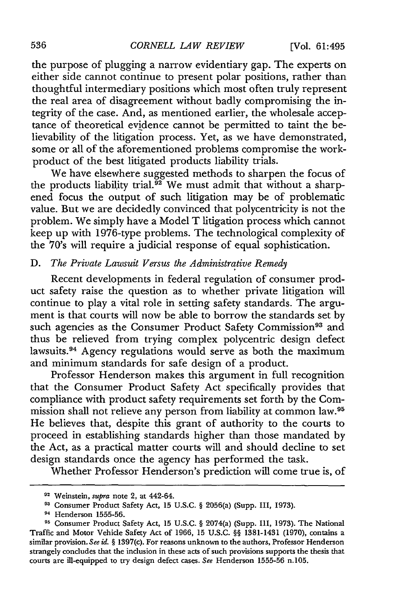the purpose of plugging a narrow evidentiary gap. The experts on either side cannot continue to present polar positions, rather than thoughtful intermediary positions which most often truly represent the real area of disagreement without badly compromising the integrity of the case. And, as mentioned earlier, the wholesale acceptance of theoretical evidence cannot be permitted to taint the believability of the litigation process. Yet, as we have demonstrated, some or all of the aforementioned problems compromise the workproduct of the best litigated products liability trials.

We have elsewhere suggested methods to sharpen the focus of the products liability trial.<sup>52</sup> We must admit that without a sharpened focus the output of such litigation may be of problematic value. But we are decidedly convinced that polycentricity is not the problem. We simply have a Model T litigation process which cannot keep up with 1976-type problems. The technological complexity of the 70's will require a judicial response of equal sophistication.

## *D. The Private Lawsuit Versus the Administrative Remedy*

Recent developments in federal regulation of consumer product safety raise the question as to whether private litigation will continue to play a vital role in setting safety standards. The argument is that courts will now be able to borrow the standards set by such agencies as the Consumer Product Safety Commission<sup>93</sup> and thus be relieved from trying complex polycentric design defect lawsuits.<sup>94</sup> Agency regulations would serve as both the maximum and minimum standards for safe design of a product.

Professor Henderson makes this argument in full recognition that the Consumer Product Safety Act specifically provides that compliance with product safety requirements set forth by the Commission shall not relieve any person from liability at common law.<sup>95</sup> He believes that, despite this grant of authority to the courts to proceed in establishing standards higher than those mandated by the Act, as a practical matter courts will and should decline to set design standards once the agency has performed the task.

Whether Professor Henderson's prediction will come true is, of

**<sup>92</sup>**Weinstein, supra note 2, at 442-64.

**<sup>93</sup>**Consumer Product Safety Act, 15 U.S.C. § 2056(a) (Supp. III, 1973).

<sup>94</sup> Henderson 1555-56.

<sup>&</sup>lt;sup>95</sup> Consumer Product Safety Act, 15 U.S.C. § 2074(a) (Supp. III, 1973). The National Traffic and Motor Vehicle Safety Act of 1966, 15 U.S.C. §§ 1381-1431 (1970), contains a similar provision. See id. *§* 1397(c). For reasons unknown to the authors, Professor Henderson strangely concludes that the inclusion in these acts of such provisions supports the thesis that courts are ill-equipped to try design defect cases. See Henderson 1555-56 n.105.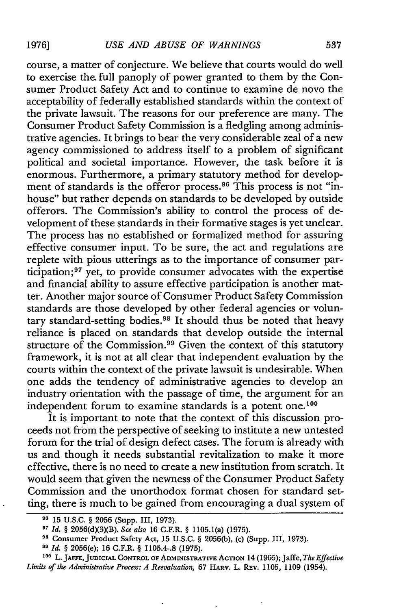course, a matter of conjecture. We believe that courts would do well to exercise the, full panoply of power granted to them by the Consumer Product Safety Act and to continue to examine de novo the acceptability of federally established standards within the context of the private lawsuit. The reasons for our preference are many. The Consumer Product Safety Commission is a fledgling among administrative agencies. It brings to bear the very considerable zeal of a new agency commissioned to address itself to a problem of significant political and societal importance. However, the task before it is enormous. Furthermore, a primary statutory method for development of standards is the offeror process.<sup>96</sup> This process is not "inhouse" but rather depends on standards to be developed by outside offerors. The Commission's ability to control the process of development of these standards in their formative stages is yet unclear. The process has no established or formalized method for assuring effective consumer input. To be sure, the act and regulations are replete with pious utterings as to the importance of consumer participation;<sup>97</sup> yet, to provide consumer advocates with the expertise and financial ability to assure effective participation is another matter. Another major source of Consumer Product Safety Commission standards are those developed by other federal agencies or voluntary standard-setting bodies. 98 It should thus be noted that heavy reliance is placed on standards that develop outside the internal structure of the Commission.99 Given the context of this statutory framework, it is not at all clear that independent evaluation by the courts within the context of the private lawsuit is undesirable. When one adds the tendency of administrative agencies to develop an industry orientation with the passage of time, the argument for an independent forum to examine standards is a potent one.<sup>100</sup>

It is important to note that the context of this discussion proceeds not from the perspective of seeking to institute a new untested forum for the trial of design defect cases. The forum is already with us and though it needs substantial revitalization to make it more effective, there is no need to create a new institution from scratch. It would seem that given the newness of the Consumer Product Safety Commission and the unorthodox format chosen for standard setting, there is much to be gained from encouraging a dual system of

**<sup>96</sup>**15 U.S.C. § 2056 (Supp. III, 1973).

*<sup>97</sup>Id. §* 2056(d)(3)(B). *See also* 16 C.F.R. § 1105.1(a) (1975).

**<sup>98</sup>** Consumer Product Safety Act, 15 U.S.C. § 2056(b), (c) (Supp. III, 1973).

**<sup>99</sup>***Id.* § 2056(e); 16 C.F.R. § 1105.4-.8 (1975).

**<sup>101</sup> L. JAFFE, JUDICIAL CONTROL** OF ADMINISTRATIVE **ACTION** 14 **(1965);** Jaffe, *The Effective Limits of the Administrative Process: A Reevaluation,* 67 HARV. L. REV. 1105, 1109 (1954).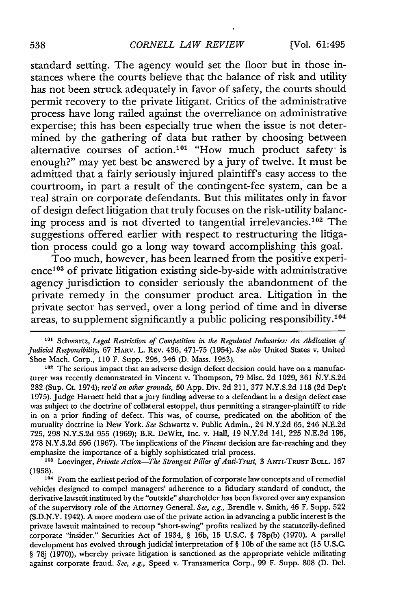standard setting. The agency would set the floor but in those instances where the courts believe that the balance of risk and utility has not been struck adequately in favor of safety, the courts should permit recovery to the private litigant. Critics of the administrative process have long railed against the overreliance on administrative expertise; this has been especially true when the issue is not determined by the gathering of data but rather by choosing between alternative courses of action.<sup>101</sup> "How much product safety is enough?" may yet best be answered by a jury of twelve. It must be admitted that a fairly seriously injured plaintiff's easy access to the courtroom, in part a result of the contingent-fee system, can be a real strain on corporate defendants. But this militates only in favor of design defect litigation that truly focuses on the risk-utility balancing process and is not diverted to tangential irrelevancies.<sup>102</sup> The suggestions offered earlier with respect to restructuring the litigation process could go a long way toward accomplishing this goal.

Too much, however, has been learned from the positive experience<sup>103</sup> of private litigation existing side-by-side with administrative agency jurisdiction to consider seriously the abandonment of the private remedy in the consumer product area. Litigation in the private sector has served, over a long period of time and in diverse areas, to supplement significantly a public policing responsibility.<sup>104</sup>

<sup>102</sup> The serious impact that an adverse design defect decision could have on a manufacturer was recently demonstrated in Vincent v. Thompson, 79 Misc. 2d 1029, 361 N.Y.S.2d 282 (Sup. Ct. 1974); *rev'd on other grounds,* 50 App. Div. 2d 211, 377 N.Y.S.2d 118 (2d Dep't 1975). Judge Harnett held that a jury finding adverse to a defendant in a design defect case was subject to the doctrine of collateral estoppel, thus permitting a stranger-plaintiff to ride in on a prior finding of defect. This was, of course, predicated on the abolition of the mutuality doctrine in New York. *See* Schwartz v. Public Admin., 24 N.Y.2d 65, 246 N.E.2d 725, 298 N.Y.S.2d 955 (1969); B.R. DeWitt, Inc. v. Hall, 19 N.Y.2d 141, 225 N.E.2d 195, 278 N.Y.S.2d 596 (1967). The implications of the *Vincent* decision are far-reaching and they emphasize the importance of a highly sophisticated trial process.

<sup>103</sup> Loevinger, *Private Action—The Strongest Pillar of Anti-Trust*, <sup>3</sup> ANTI-TRUST BULL. 167 (1958).

<sup>104</sup> From the earliest period of the formulation of corporate law concepts and of remedial vehicles designed to compel managers' adherence to a fiduciary standard of conduct, the derivative lawsuit instituted by the "outside" shareholder has been favored over any expansion of the supervisory role of the Attorney General. *See, e.g.,* Brendle v. Smith, 46 F. Supp. 522 (S.D.N.Y. 1942). A more modern use of the private action in advancing a public interest is the private lawsuit maintained to recoup "short-swing" profits realized by the statutorily-defined corporate "insider." Securities Act of 1934, § 16b, 15 U.S.C. § 78p(b) (1970). A parallel development has evolved through judicial interpretation of § **1Ob** of the same act (15 U.S.C. § 78j (1970)), whereby private litigation is sanctioned as the appropriate vehicle militating against corporate fraud. *See, e.g.,* Speed v. Transamerica Corp., 99 F. Supp. 808 (D. Del.

**<sup>101</sup>**Schwartz, *Legal Restriction of Competition in the Regulated Industries: An Abdication of Judicial Responsibility,* 67 HARv. L. REv. 436, 471-75 (1954). *See also* United States v. United Shoe Mach. Corp., 110 F. Supp. 295, 346 (D. Mass. 1953).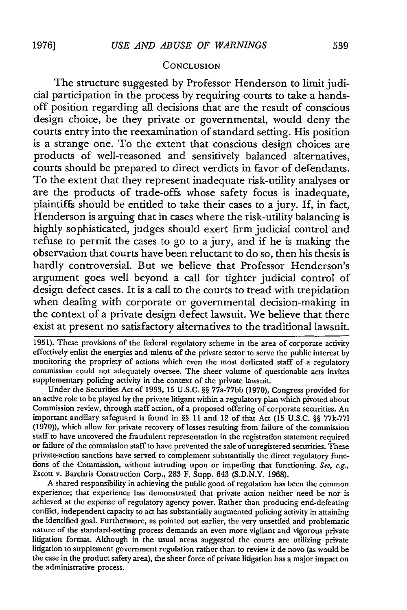#### **CONCLUSION**

The structure suggested by Professor Henderson to limit judicial participation in the process by requiring courts to take a handsoff position regarding all decisions that are the result of conscious design choice, be they private or governmental, would deny the courts entry into the reexamination of standard setting. His position is a strange one. To the extent that conscious design choices are products of well-reasoned and sensitively balanced alternatives, courts should be prepared to direct verdicts in favor of defendants. To the extent that they represent inadequate risk-utility analyses or are the products of trade-offs whose safety focus is inadequate, plaintiffs should be entitled to take their cases to a jury. If, in fact, Henderson is arguing that in cases where the risk-utility balancing is highly sophisticated, judges should exert firm judicial control and refuse to permit the cases to go to a jury, and if he is making the observation that courts have been reluctant to do so, then his thesis is hardly controversial. But we believe that Professor Henderson's argument goes well beyond a call for tighter judicial control of design defect cases. It is a call to the courts to tread with trepidation when dealing with corporate or governmental decision-making in the context of a private design defect lawsuit. We believe that there exist at present no satisfactory alternatives to the traditional lawsuit.

**1951).** These provisions of the federal regulatory scheme in the area of corporate activity effectively enlist the energies and talents of the private sector to serve the public interest by monitoring the propriety of actions which even the most dedicated staff of a regulatory commission could not adequately oversee. The sheer volume of questionable acts invites supplementary policing activity in the context of the private lawsuit.

Under the Securities Act of 1933, **15** U.S.C. §§ 77a-77bb **(1970),** Congress provided for an active role to be played by the private litigant within a regulatory plan which pivoted about Commission review, through staff action, of a proposed offering of corporate securities. An important ancillary safeguard is found in *§§* II and 12 of that Act **(15** U.S.C. §§ 77k-771 **(1970)),** which allow for private recovery of losses resulting from failure of the commission staff to have uncovered the fraudulent representation in the registration statement required or failure of the commission staff to have prevented the sale of unregistered securities. These private-action sanctions have served to complement substantially the direct regulatory functions of the Commission, without intruding upon or impeding that functioning. See, e.g., Escott v. Barchris Construction Corp., 283 F. Supp. 643 (S.D.N.Y. **1968).**

A shared responsibility in achieving the public good of regulation has been the common experience; that experience has demonstrated that private action neither need be nor is achieved at the expense of regulatory agency power. Rather than producing end-defeating conflict, independent capacity to act has substantially augmented policing activity in attaining the identified goal. Furthermore, as pointed out earlier, the very unsettled and problematic nature of the standard-setting process demands an even more vigilant and vigorous private litigation format. Although in the usual areas suggested the courts are utilizing private litigation to supplement government regulation rather than to review it de novo (as would be the case in the product safety area), the sheer force of private litigation has a major impact on the administrative process.